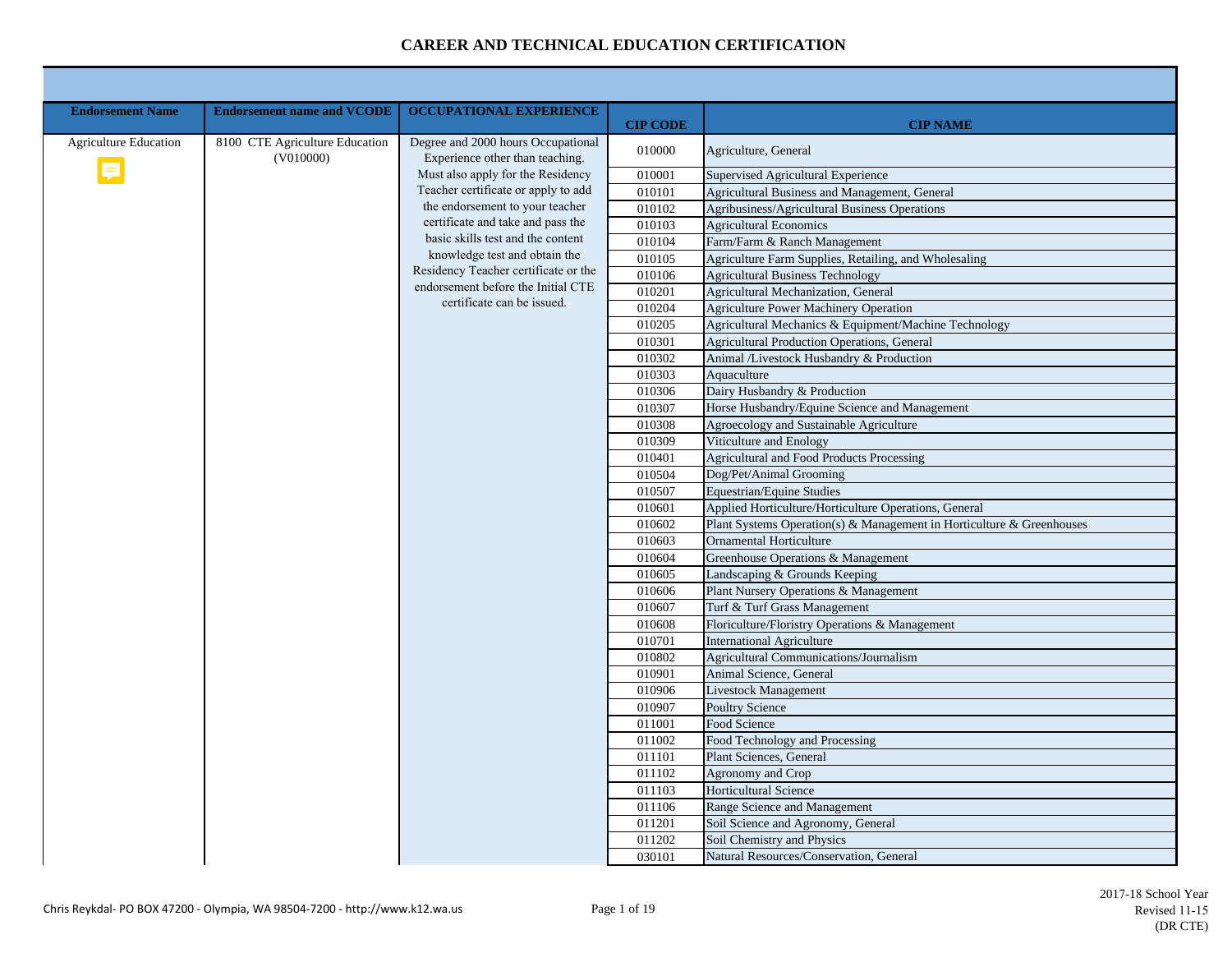| <b>Endorsement Name</b>      | <b>Endorsement name and VCODE</b>           | <b>OCCUPATIONAL EXPERIENCE</b>                                             |                           |                                                                               |
|------------------------------|---------------------------------------------|----------------------------------------------------------------------------|---------------------------|-------------------------------------------------------------------------------|
| <b>Agriculture Education</b> | 8100 CTE Agriculture Education<br>(V010000) | Degree and 2000 hours Occupational<br>Experience other than teaching.      | <b>CIP CODE</b><br>010000 | <b>CIP NAME</b><br>Agriculture, General                                       |
|                              |                                             | Must also apply for the Residency                                          | 010001                    | Supervised Agricultural Experience                                            |
|                              |                                             | Teacher certificate or apply to add                                        | 010101                    | Agricultural Business and Management, General                                 |
|                              |                                             | the endorsement to your teacher                                            | 010102                    | Agribusiness/Agricultural Business Operations                                 |
|                              |                                             | certificate and take and pass the                                          | 010103                    | <b>Agricultural Economics</b>                                                 |
|                              |                                             | basic skills test and the content                                          | 010104                    | Farm/Farm & Ranch Management                                                  |
|                              |                                             | knowledge test and obtain the                                              | 010105                    | Agriculture Farm Supplies, Retailing, and Wholesaling                         |
|                              |                                             | Residency Teacher certificate or the<br>endorsement before the Initial CTE | 010106                    | <b>Agricultural Business Technology</b>                                       |
|                              |                                             | certificate can be issued.                                                 | 010201                    | Agricultural Mechanization, General                                           |
|                              |                                             |                                                                            | 010204                    | Agriculture Power Machinery Operation                                         |
|                              |                                             |                                                                            | 010205                    | Agricultural Mechanics & Equipment/Machine Technology                         |
|                              |                                             |                                                                            | 010301                    | <b>Agricultural Production Operations, General</b>                            |
|                              |                                             |                                                                            | 010302                    | Animal /Livestock Husbandry & Production                                      |
|                              |                                             |                                                                            | 010303                    | Aquaculture                                                                   |
|                              |                                             |                                                                            | 010306<br>010307          | Dairy Husbandry & Production<br>Horse Husbandry/Equine Science and Management |
|                              |                                             |                                                                            | 010308                    | Agroecology and Sustainable Agriculture                                       |
|                              |                                             |                                                                            | 010309                    | Viticulture and Enology                                                       |
|                              |                                             |                                                                            | 010401                    | <b>Agricultural and Food Products Processing</b>                              |
|                              |                                             |                                                                            | 010504                    | Dog/Pet/Animal Grooming                                                       |
|                              |                                             |                                                                            | 010507                    | Equestrian/Equine Studies                                                     |
|                              |                                             |                                                                            | 010601                    | Applied Horticulture/Horticulture Operations, General                         |
|                              |                                             |                                                                            | 010602                    | Plant Systems Operation(s) & Management in Horticulture & Greenhouses         |
|                              |                                             |                                                                            | 010603                    | <b>Ornamental Horticulture</b>                                                |
|                              |                                             |                                                                            | 010604                    | Greenhouse Operations & Management                                            |
|                              |                                             |                                                                            | 010605                    | Landscaping & Grounds Keeping                                                 |
|                              |                                             |                                                                            | 010606                    | Plant Nursery Operations & Management                                         |
|                              |                                             |                                                                            | 010607                    | Turf & Turf Grass Management                                                  |
|                              |                                             |                                                                            | 010608                    | Floriculture/Floristry Operations & Management                                |
|                              |                                             |                                                                            | 010701                    | <b>International Agriculture</b>                                              |
|                              |                                             |                                                                            | 010802                    | Agricultural Communications/Journalism                                        |
|                              |                                             |                                                                            | 010901                    | Animal Science, General                                                       |
|                              |                                             |                                                                            | 010906                    | <b>Livestock Management</b>                                                   |
|                              |                                             |                                                                            | 010907                    | <b>Poultry Science</b>                                                        |
|                              |                                             |                                                                            | 011001                    | Food Science                                                                  |
|                              |                                             |                                                                            | 011002<br>011101          | Food Technology and Processing<br>Plant Sciences, General                     |
|                              |                                             |                                                                            | 011102                    | Agronomy and Crop                                                             |
|                              |                                             |                                                                            | 011103                    | <b>Horticultural Science</b>                                                  |
|                              |                                             |                                                                            | 011106                    | Range Science and Management                                                  |
|                              |                                             |                                                                            | 011201                    | Soil Science and Agronomy, General                                            |
|                              |                                             |                                                                            | 011202                    | Soil Chemistry and Physics                                                    |
|                              |                                             |                                                                            | 030101                    | Natural Resources/Conservation, General                                       |
|                              |                                             |                                                                            |                           |                                                                               |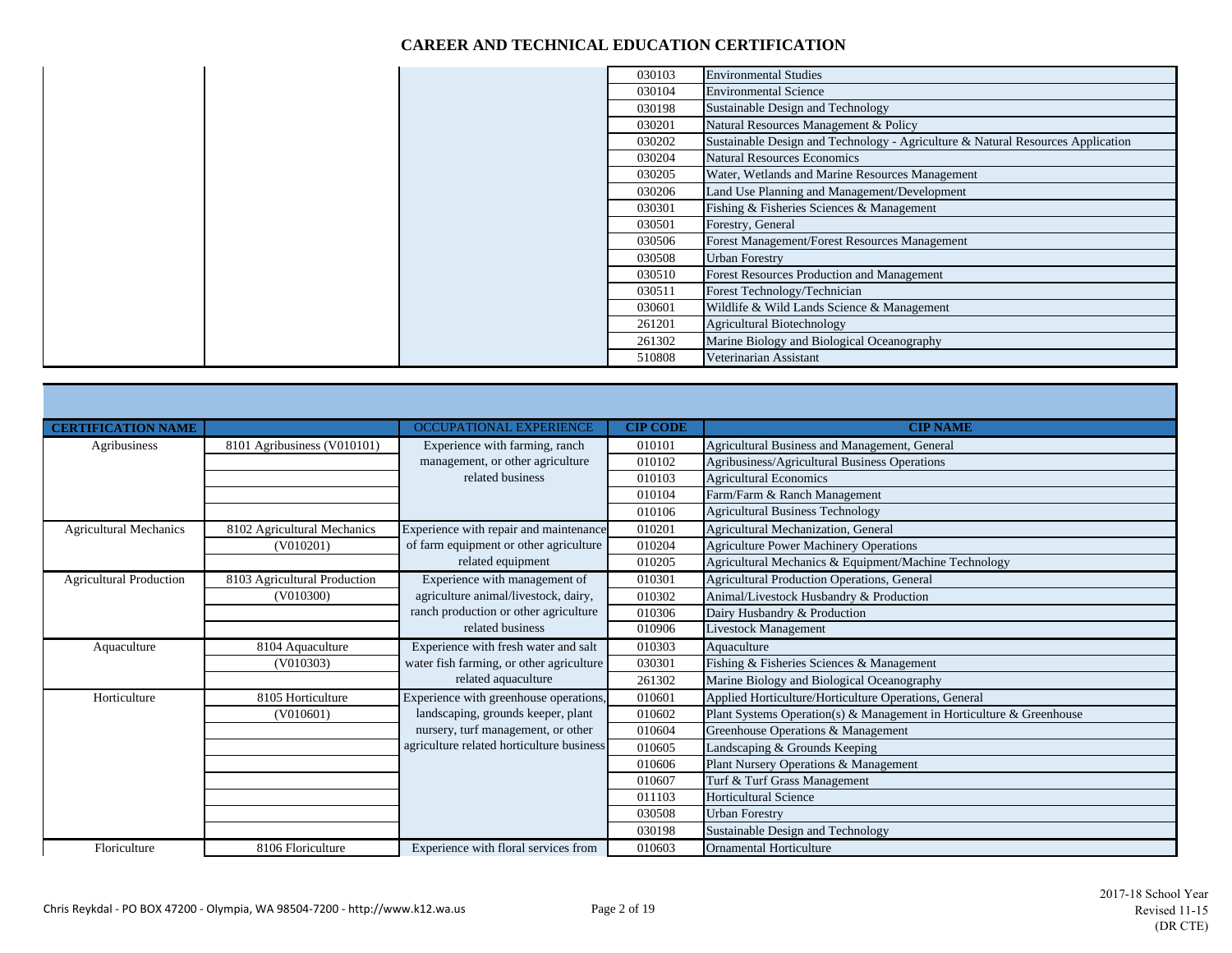|  | 030103 | <b>Environmental Studies</b>                                                    |
|--|--------|---------------------------------------------------------------------------------|
|  | 030104 | <b>Environmental Science</b>                                                    |
|  | 030198 | Sustainable Design and Technology                                               |
|  | 030201 | Natural Resources Management & Policy                                           |
|  | 030202 | Sustainable Design and Technology - Agriculture & Natural Resources Application |
|  | 030204 | <b>Natural Resources Economics</b>                                              |
|  | 030205 | Water, Wetlands and Marine Resources Management                                 |
|  | 030206 | Land Use Planning and Management/Development                                    |
|  | 030301 | Fishing & Fisheries Sciences & Management                                       |
|  | 030501 | Forestry, General                                                               |
|  | 030506 | Forest Management/Forest Resources Management                                   |
|  | 030508 | <b>Urban Forestry</b>                                                           |
|  | 030510 | Forest Resources Production and Management                                      |
|  | 030511 | Forest Technology/Technician                                                    |
|  | 030601 | Wildlife & Wild Lands Science & Management                                      |
|  | 261201 | <b>Agricultural Biotechnology</b>                                               |
|  | 261302 | Marine Biology and Biological Oceanography                                      |
|  | 510808 | Veterinarian Assistant                                                          |

| <b>CERTIFICATION NAME</b>      |                              | <b>OCCUPATIONAL EXPERIENCE</b>            | <b>CIP CODE</b> | <b>CIP NAME</b>                                                      |
|--------------------------------|------------------------------|-------------------------------------------|-----------------|----------------------------------------------------------------------|
| Agribusiness                   | 8101 Agribusiness (V010101)  | Experience with farming, ranch            | 010101          | Agricultural Business and Management, General                        |
|                                |                              | management, or other agriculture          | 010102          | Agribusiness/Agricultural Business Operations                        |
|                                |                              | related business                          | 010103          | <b>Agricultural Economics</b>                                        |
|                                |                              |                                           | 010104          | Farm/Farm & Ranch Management                                         |
|                                |                              |                                           | 010106          | <b>Agricultural Business Technology</b>                              |
| <b>Agricultural Mechanics</b>  | 8102 Agricultural Mechanics  | Experience with repair and maintenance    | 010201          | Agricultural Mechanization, General                                  |
|                                | (V010201)                    | of farm equipment or other agriculture    | 010204          | <b>Agriculture Power Machinery Operations</b>                        |
|                                |                              | related equipment                         | 010205          | Agricultural Mechanics & Equipment/Machine Technology                |
| <b>Agricultural Production</b> | 8103 Agricultural Production | Experience with management of             | 010301          | Agricultural Production Operations, General                          |
|                                | (V010300)                    | agriculture animal/livestock, dairy,      | 010302          | Animal/Livestock Husbandry & Production                              |
|                                |                              | ranch production or other agriculture     | 010306          | Dairy Husbandry & Production                                         |
|                                |                              | related business                          | 010906          | Livestock Management                                                 |
| Aquaculture                    | 8104 Aquaculture             | Experience with fresh water and salt      | 010303          | Aquaculture                                                          |
|                                | (V010303)                    | water fish farming, or other agriculture  | 030301          | Fishing & Fisheries Sciences & Management                            |
|                                |                              | related aquaculture                       | 261302          | Marine Biology and Biological Oceanography                           |
| Horticulture                   | 8105 Horticulture            | Experience with greenhouse operations,    | 010601          | Applied Horticulture/Horticulture Operations, General                |
|                                | (V010601)                    | landscaping, grounds keeper, plant        | 010602          | Plant Systems Operation(s) & Management in Horticulture & Greenhouse |
|                                |                              | nursery, turf management, or other        | 010604          | Greenhouse Operations & Management                                   |
|                                |                              | agriculture related horticulture business | 010605          | Landscaping & Grounds Keeping                                        |
|                                |                              |                                           | 010606          | Plant Nursery Operations & Management                                |
|                                |                              |                                           | 010607          | Turf & Turf Grass Management                                         |
|                                |                              |                                           | 011103          | <b>Horticultural Science</b>                                         |
|                                |                              |                                           | 030508          | <b>Urban Forestry</b>                                                |
|                                |                              |                                           | 030198          | Sustainable Design and Technology                                    |
| Floriculture                   | 8106 Floriculture            | Experience with floral services from      | 010603          | <b>Ornamental Horticulture</b>                                       |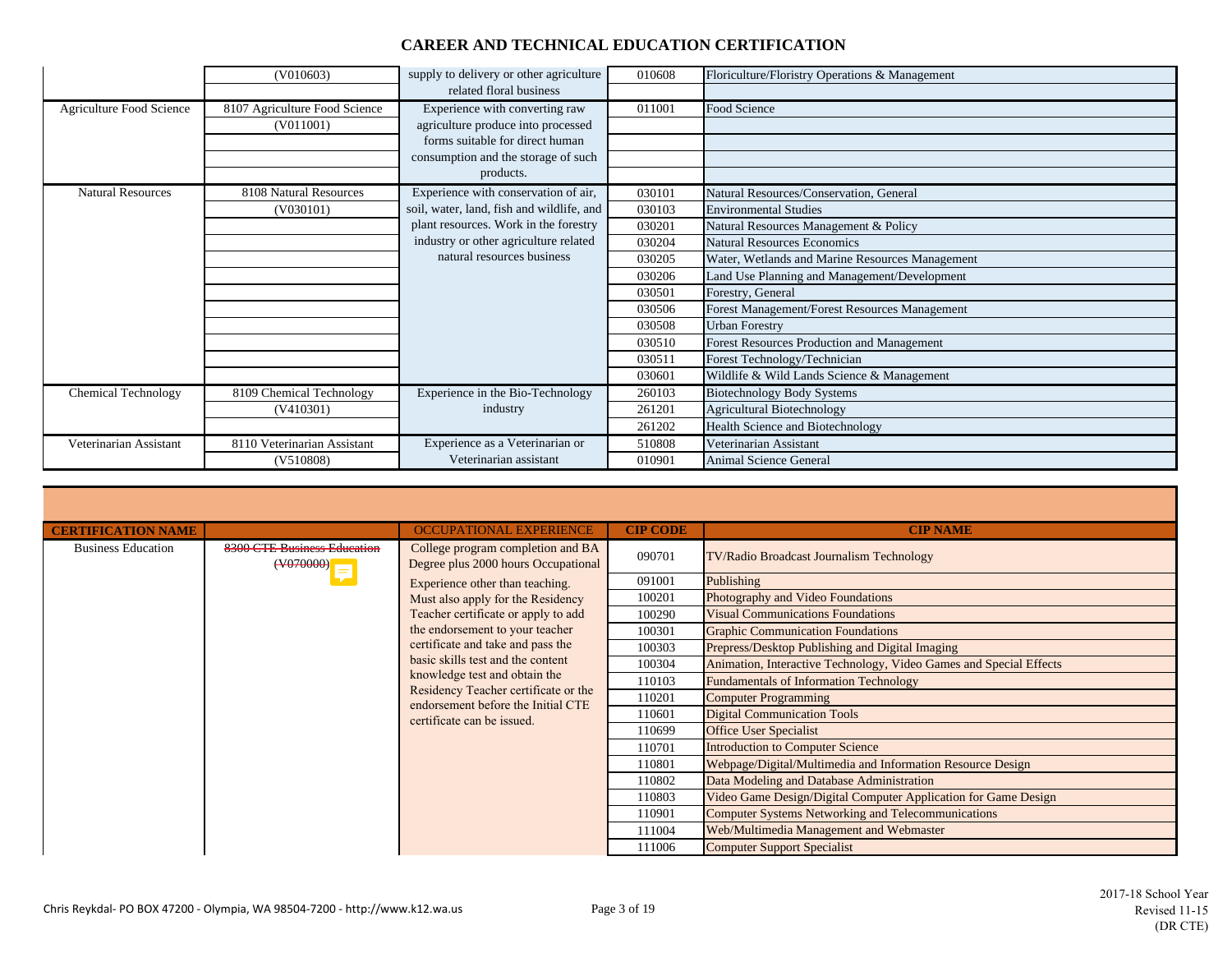|                                 | (V010603)                     | supply to delivery or other agriculture   | 010608 | Floriculture/Floristry Operations & Management  |
|---------------------------------|-------------------------------|-------------------------------------------|--------|-------------------------------------------------|
|                                 |                               | related floral business                   |        |                                                 |
| <b>Agriculture Food Science</b> | 8107 Agriculture Food Science | Experience with converting raw            | 011001 | Food Science                                    |
|                                 | (V011001)                     | agriculture produce into processed        |        |                                                 |
|                                 |                               | forms suitable for direct human           |        |                                                 |
|                                 |                               | consumption and the storage of such       |        |                                                 |
|                                 |                               | products.                                 |        |                                                 |
| <b>Natural Resources</b>        | 8108 Natural Resources        | Experience with conservation of air,      | 030101 | Natural Resources/Conservation, General         |
|                                 | (V030101)                     | soil, water, land, fish and wildlife, and | 030103 | <b>Environmental Studies</b>                    |
|                                 |                               | plant resources. Work in the forestry     | 030201 | Natural Resources Management & Policy           |
|                                 |                               | industry or other agriculture related     | 030204 | <b>Natural Resources Economics</b>              |
|                                 |                               | natural resources business                | 030205 | Water, Wetlands and Marine Resources Management |
|                                 |                               |                                           | 030206 | Land Use Planning and Management/Development    |
|                                 |                               |                                           | 030501 | Forestry, General                               |
|                                 |                               |                                           | 030506 | Forest Management/Forest Resources Management   |
|                                 |                               |                                           | 030508 | <b>Urban Forestry</b>                           |
|                                 |                               |                                           | 030510 | Forest Resources Production and Management      |
|                                 |                               |                                           | 030511 | Forest Technology/Technician                    |
|                                 |                               |                                           | 030601 | Wildlife & Wild Lands Science & Management      |
| <b>Chemical Technology</b>      | 8109 Chemical Technology      | Experience in the Bio-Technology          | 260103 | <b>Biotechnology Body Systems</b>               |
|                                 | (V410301)                     | industry                                  | 261201 | <b>Agricultural Biotechnology</b>               |
|                                 |                               |                                           | 261202 | Health Science and Biotechnology                |
| Veterinarian Assistant          | 8110 Veterinarian Assistant   | Experience as a Veterinarian or           | 510808 | Veterinarian Assistant                          |
|                                 | (V510808)                     | Veterinarian assistant                    | 010901 | Animal Science General                          |

| <b>CERTIFICATION NAME</b> |                                                                    | OCCUPATIONAL EXPERIENCE                                                                                                                                                        | <b>CIP CODE</b> | <b>CIP NAME</b>                                                    |                               |
|---------------------------|--------------------------------------------------------------------|--------------------------------------------------------------------------------------------------------------------------------------------------------------------------------|-----------------|--------------------------------------------------------------------|-------------------------------|
| <b>Business Education</b> | 8300 CTE Business Education<br>$(\forall \theta$ $\theta$ $\theta$ | College program completion and BA<br>Degree plus 2000 hours Occupational                                                                                                       | 090701          | TV/Radio Broadcast Journalism Technology                           |                               |
|                           |                                                                    | Experience other than teaching.                                                                                                                                                | 091001          | Publishing                                                         |                               |
|                           |                                                                    | Must also apply for the Residency                                                                                                                                              | 100201          | Photography and Video Foundations                                  |                               |
|                           |                                                                    | Teacher certificate or apply to add                                                                                                                                            | 100290          | <b>Visual Communications Foundations</b>                           |                               |
|                           |                                                                    | the endorsement to your teacher                                                                                                                                                | 100301          | <b>Graphic Communication Foundations</b>                           |                               |
|                           |                                                                    | certificate and take and pass the                                                                                                                                              | 100303          | Prepress/Desktop Publishing and Digital Imaging                    |                               |
|                           |                                                                    | basic skills test and the content<br>knowledge test and obtain the<br>Residency Teacher certificate or the<br>endorsement before the Initial CTE<br>certificate can be issued. | 100304          | Animation, Interactive Technology, Video Games and Special Effects |                               |
|                           |                                                                    |                                                                                                                                                                                | 110103          | <b>Fundamentals of Information Technology</b>                      |                               |
|                           |                                                                    |                                                                                                                                                                                |                 | 110201                                                             | <b>Computer Programming</b>   |
|                           |                                                                    |                                                                                                                                                                                | 110601          | <b>Digital Communication Tools</b>                                 |                               |
|                           |                                                                    |                                                                                                                                                                                |                 | 110699                                                             | <b>Office User Specialist</b> |
|                           |                                                                    |                                                                                                                                                                                | 110701          | <b>Introduction to Computer Science</b>                            |                               |
|                           |                                                                    |                                                                                                                                                                                | 110801          | Webpage/Digital/Multimedia and Information Resource Design         |                               |
|                           |                                                                    |                                                                                                                                                                                | 110802          | Data Modeling and Database Administration                          |                               |
|                           |                                                                    |                                                                                                                                                                                | 110803          | Video Game Design/Digital Computer Application for Game Design     |                               |
|                           |                                                                    |                                                                                                                                                                                | 110901          | <b>Computer Systems Networking and Telecommunications</b>          |                               |
|                           |                                                                    |                                                                                                                                                                                | 111004          | Web/Multimedia Management and Webmaster                            |                               |
|                           |                                                                    |                                                                                                                                                                                | 111006          | <b>Computer Support Specialist</b>                                 |                               |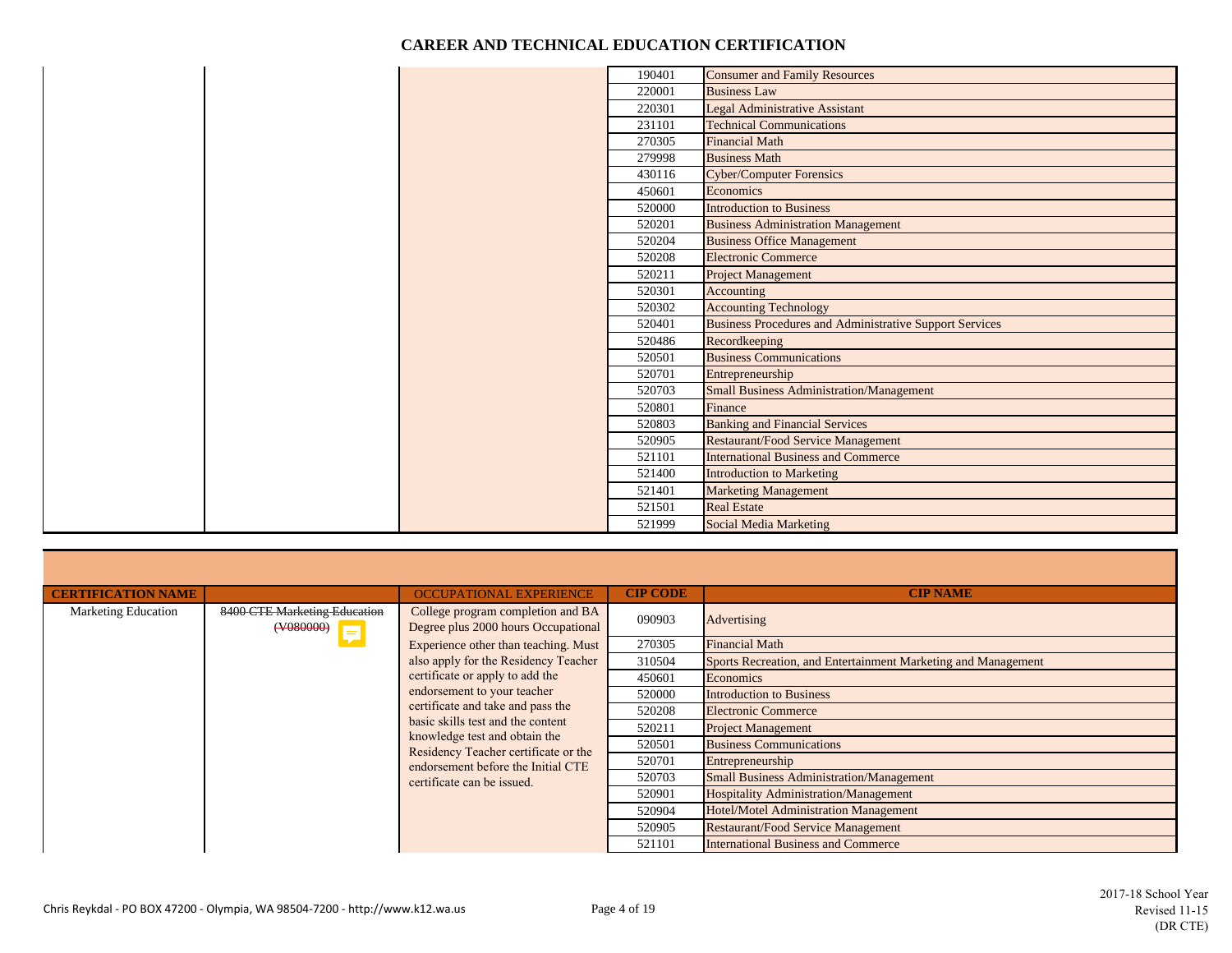|  | 190401 | <b>Consumer and Family Resources</b>                    |
|--|--------|---------------------------------------------------------|
|  | 220001 | <b>Business Law</b>                                     |
|  | 220301 | <b>Legal Administrative Assistant</b>                   |
|  | 231101 | <b>Technical Communications</b>                         |
|  | 270305 | <b>Financial Math</b>                                   |
|  | 279998 | <b>Business Math</b>                                    |
|  | 430116 | <b>Cyber/Computer Forensics</b>                         |
|  | 450601 | Economics                                               |
|  | 520000 | <b>Introduction to Business</b>                         |
|  | 520201 | <b>Business Administration Management</b>               |
|  | 520204 | <b>Business Office Management</b>                       |
|  | 520208 | <b>Electronic Commerce</b>                              |
|  | 520211 | <b>Project Management</b>                               |
|  | 520301 | Accounting                                              |
|  | 520302 | <b>Accounting Technology</b>                            |
|  | 520401 | Business Procedures and Administrative Support Services |
|  | 520486 | Recordkeeping                                           |
|  | 520501 | <b>Business Communications</b>                          |
|  | 520701 | Entrepreneurship                                        |
|  | 520703 | <b>Small Business Administration/Management</b>         |
|  | 520801 | Finance                                                 |
|  | 520803 | <b>Banking and Financial Services</b>                   |
|  | 520905 | <b>Restaurant/Food Service Management</b>               |
|  | 521101 | <b>International Business and Commerce</b>              |
|  | 521400 | <b>Introduction to Marketing</b>                        |
|  | 521401 | <b>Marketing Management</b>                             |
|  | 521501 | <b>Real Estate</b>                                      |
|  | 521999 | Social Media Marketing                                  |

| <b>CERTIFICATION NAME</b>  |                                                      | <b>OCCUPATIONAL EXPERIENCE</b>                                           | <b>CIP CODE</b> | <b>CIP NAME</b>                                               |                                              |                           |                                |  |        |                                              |
|----------------------------|------------------------------------------------------|--------------------------------------------------------------------------|-----------------|---------------------------------------------------------------|----------------------------------------------|---------------------------|--------------------------------|--|--------|----------------------------------------------|
| <b>Marketing Education</b> | 8400 CTE Marketing Education<br>$($ $\sqrt{408}$ $)$ | College program completion and BA<br>Degree plus 2000 hours Occupational | 090903          | Advertising                                                   |                                              |                           |                                |  |        |                                              |
|                            |                                                      | Experience other than teaching. Must                                     | 270305          | <b>Financial Math</b>                                         |                                              |                           |                                |  |        |                                              |
|                            |                                                      | also apply for the Residency Teacher                                     | 310504          | Sports Recreation, and Entertainment Marketing and Management |                                              |                           |                                |  |        |                                              |
|                            |                                                      | certificate or apply to add the                                          | 450601          | Economics                                                     |                                              |                           |                                |  |        |                                              |
|                            |                                                      | endorsement to your teacher                                              |                 | 520000                                                        | <b>Introduction to Business</b>              |                           |                                |  |        |                                              |
|                            |                                                      | certificate and take and pass the                                        | 520208          | <b>Electronic Commerce</b>                                    |                                              |                           |                                |  |        |                                              |
|                            |                                                      | basic skills test and the content<br>knowledge test and obtain the       |                 |                                                               | 520211                                       | <b>Project Management</b> |                                |  |        |                                              |
|                            |                                                      |                                                                          |                 |                                                               | Residency Teacher certificate or the         | 520501                    | <b>Business Communications</b> |  |        |                                              |
|                            |                                                      | endorsement before the Initial CTE                                       | 520701          | Entrepreneurship                                              |                                              |                           |                                |  |        |                                              |
|                            |                                                      | certificate can be issued.                                               | 520703          | <b>Small Business Administration/Management</b>               |                                              |                           |                                |  |        |                                              |
|                            |                                                      |                                                                          |                 |                                                               |                                              |                           |                                |  | 520901 | <b>Hospitality Administration/Management</b> |
|                            |                                                      |                                                                          |                 | 520904                                                        | <b>Hotel/Motel Administration Management</b> |                           |                                |  |        |                                              |
|                            |                                                      |                                                                          | 520905          | <b>Restaurant/Food Service Management</b>                     |                                              |                           |                                |  |        |                                              |
|                            |                                                      |                                                                          | 521101          | <b>International Business and Commerce</b>                    |                                              |                           |                                |  |        |                                              |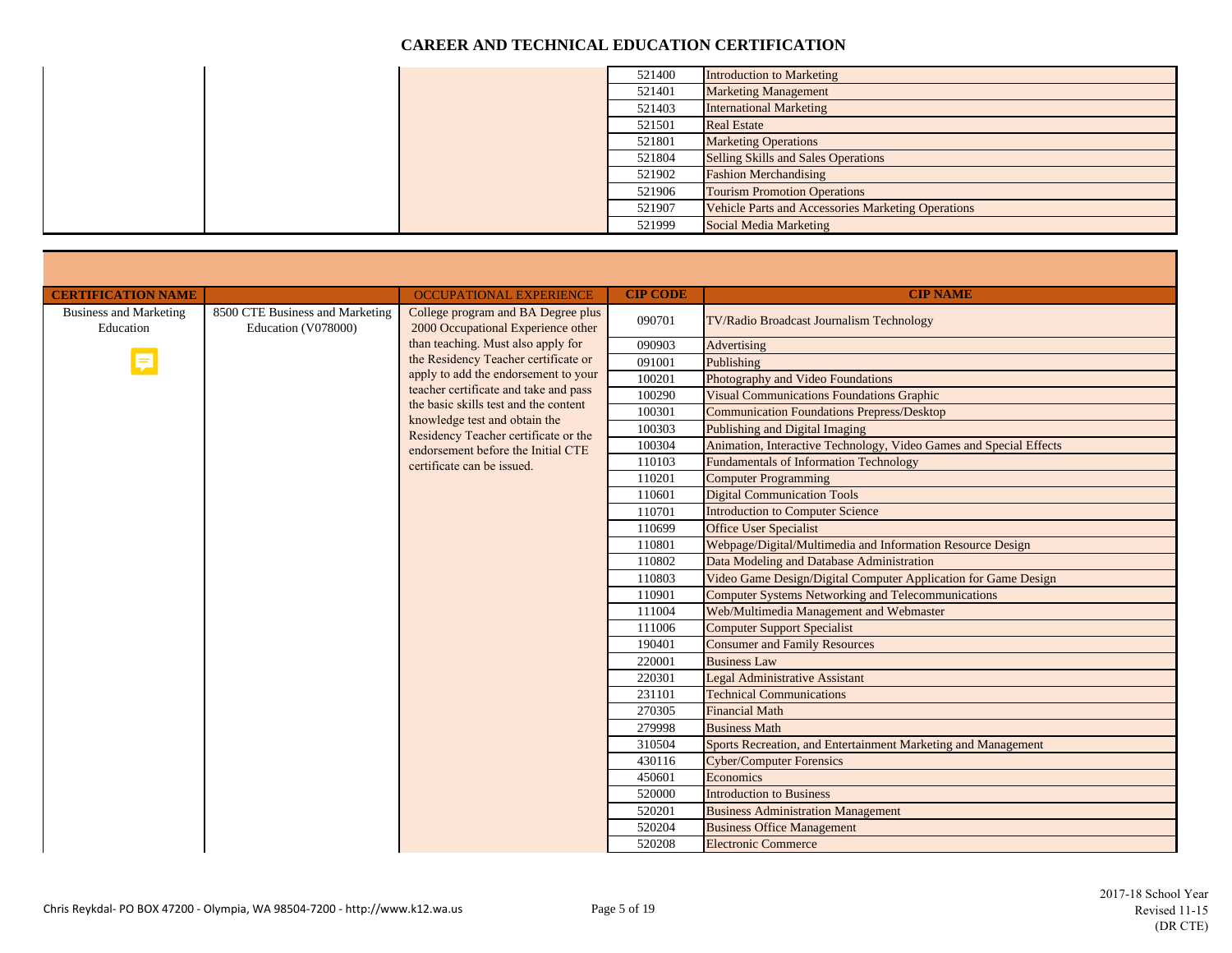|  | 521400 | <b>Introduction to Marketing</b>                          |
|--|--------|-----------------------------------------------------------|
|  | 521401 | <b>Marketing Management</b>                               |
|  | 521403 | <b>International Marketing</b>                            |
|  | 521501 | <b>Real Estate</b>                                        |
|  | 521801 | <b>Marketing Operations</b>                               |
|  | 521804 | <b>Selling Skills and Sales Operations</b>                |
|  | 521902 | <b>Fashion Merchandising</b>                              |
|  | 521906 | <b>Tourism Promotion Operations</b>                       |
|  | 521907 | <b>Vehicle Parts and Accessories Marketing Operations</b> |
|  | 521999 | Social Media Marketing                                    |

| <b>CERTIFICATION NAME</b>                  |                                                        | <b>OCCUPATIONAL EXPERIENCE</b>                                           | <b>CIP CODE</b> | <b>CIP NAME</b>                                                    |
|--------------------------------------------|--------------------------------------------------------|--------------------------------------------------------------------------|-----------------|--------------------------------------------------------------------|
| <b>Business and Marketing</b><br>Education | 8500 CTE Business and Marketing<br>Education (V078000) | College program and BA Degree plus<br>2000 Occupational Experience other | 090701          | TV/Radio Broadcast Journalism Technology                           |
|                                            |                                                        | than teaching. Must also apply for                                       | 090903          | Advertising                                                        |
|                                            |                                                        | the Residency Teacher certificate or                                     | 091001          | Publishing                                                         |
|                                            |                                                        | apply to add the endorsement to your                                     | 100201          | Photography and Video Foundations                                  |
|                                            |                                                        | teacher certificate and take and pass                                    | 100290          | <b>Visual Communications Foundations Graphic</b>                   |
|                                            |                                                        | the basic skills test and the content<br>knowledge test and obtain the   | 100301          | <b>Communication Foundations Prepress/Desktop</b>                  |
|                                            |                                                        | Residency Teacher certificate or the                                     | 100303          | Publishing and Digital Imaging                                     |
|                                            |                                                        | endorsement before the Initial CTE                                       | 100304          | Animation, Interactive Technology, Video Games and Special Effects |
|                                            |                                                        | certificate can be issued.                                               | 110103          | <b>Fundamentals of Information Technology</b>                      |
|                                            |                                                        |                                                                          | 110201          | <b>Computer Programming</b>                                        |
|                                            |                                                        |                                                                          | 110601          | <b>Digital Communication Tools</b>                                 |
|                                            |                                                        |                                                                          | 110701          | <b>Introduction to Computer Science</b>                            |
|                                            |                                                        |                                                                          | 110699          | <b>Office User Specialist</b>                                      |
|                                            |                                                        |                                                                          | 110801          | Webpage/Digital/Multimedia and Information Resource Design         |
|                                            |                                                        |                                                                          | 110802          | Data Modeling and Database Administration                          |
|                                            |                                                        |                                                                          | 110803          | Video Game Design/Digital Computer Application for Game Design     |
|                                            |                                                        |                                                                          | 110901          | <b>Computer Systems Networking and Telecommunications</b>          |
|                                            |                                                        |                                                                          | 111004          | Web/Multimedia Management and Webmaster                            |
|                                            |                                                        |                                                                          | 111006          | <b>Computer Support Specialist</b>                                 |
|                                            |                                                        |                                                                          | 190401          | <b>Consumer and Family Resources</b>                               |
|                                            |                                                        |                                                                          | 220001          | <b>Business Law</b>                                                |
|                                            |                                                        |                                                                          | 220301          | <b>Legal Administrative Assistant</b>                              |
|                                            |                                                        |                                                                          | 231101          | <b>Technical Communications</b>                                    |
|                                            |                                                        |                                                                          | 270305          | <b>Financial Math</b>                                              |
|                                            |                                                        |                                                                          | 279998          | <b>Business Math</b>                                               |
|                                            |                                                        |                                                                          | 310504          | Sports Recreation, and Entertainment Marketing and Management      |
|                                            |                                                        |                                                                          | 430116          | <b>Cyber/Computer Forensics</b>                                    |
|                                            |                                                        |                                                                          | 450601          | Economics                                                          |
|                                            |                                                        |                                                                          | 520000          | <b>Introduction to Business</b>                                    |
|                                            |                                                        |                                                                          | 520201          | <b>Business Administration Management</b>                          |
|                                            |                                                        |                                                                          | 520204          | <b>Business Office Management</b>                                  |
|                                            |                                                        |                                                                          | 520208          | <b>Electronic Commerce</b>                                         |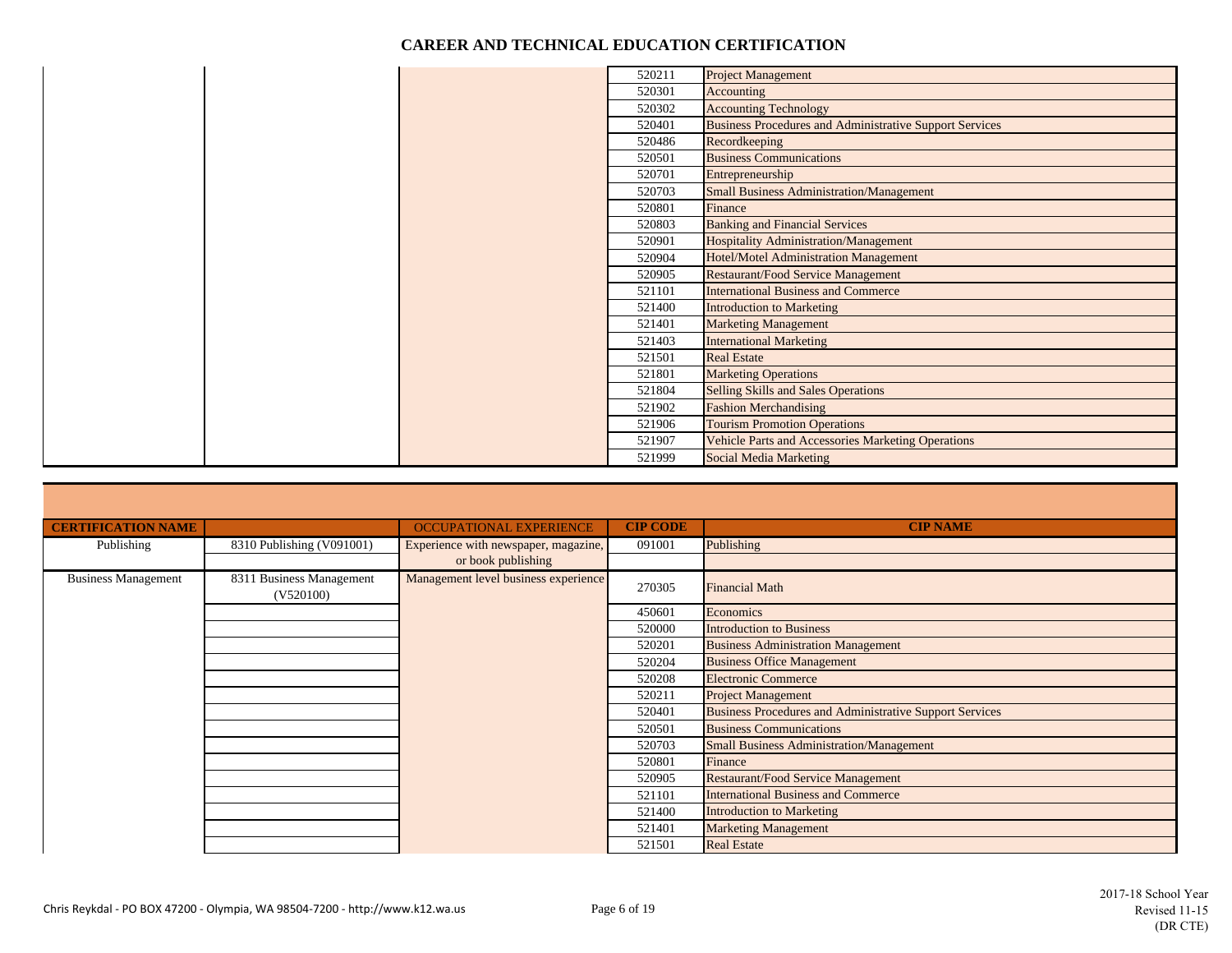|  | 520211 | <b>Project Management</b>                                      |
|--|--------|----------------------------------------------------------------|
|  | 520301 | Accounting                                                     |
|  | 520302 | <b>Accounting Technology</b>                                   |
|  | 520401 | <b>Business Procedures and Administrative Support Services</b> |
|  | 520486 | Recordkeeping                                                  |
|  | 520501 | <b>Business Communications</b>                                 |
|  | 520701 | Entrepreneurship                                               |
|  | 520703 | <b>Small Business Administration/Management</b>                |
|  | 520801 | Finance                                                        |
|  | 520803 | <b>Banking and Financial Services</b>                          |
|  | 520901 | Hospitality Administration/Management                          |
|  | 520904 | Hotel/Motel Administration Management                          |
|  | 520905 | <b>Restaurant/Food Service Management</b>                      |
|  | 521101 | <b>International Business and Commerce</b>                     |
|  | 521400 | <b>Introduction to Marketing</b>                               |
|  | 521401 | <b>Marketing Management</b>                                    |
|  | 521403 | <b>International Marketing</b>                                 |
|  | 521501 | <b>Real Estate</b>                                             |
|  | 521801 | <b>Marketing Operations</b>                                    |
|  | 521804 | <b>Selling Skills and Sales Operations</b>                     |
|  | 521902 | <b>Fashion Merchandising</b>                                   |
|  | 521906 | <b>Tourism Promotion Operations</b>                            |
|  | 521907 | <b>Vehicle Parts and Accessories Marketing Operations</b>      |
|  | 521999 | Social Media Marketing                                         |

| <b>CERTIFICATION NAME</b>  |                                       | <b>OCCUPATIONAL EXPERIENCE</b>       | <b>CIP CODE</b> | <b>CIP NAME</b>                                                |
|----------------------------|---------------------------------------|--------------------------------------|-----------------|----------------------------------------------------------------|
| Publishing                 | 8310 Publishing (V091001)             | Experience with newspaper, magazine, | 091001          | Publishing                                                     |
|                            |                                       | or book publishing                   |                 |                                                                |
| <b>Business Management</b> | 8311 Business Management<br>(V520100) | Management level business experience | 270305          | <b>Financial Math</b>                                          |
|                            |                                       |                                      | 450601          | Economics                                                      |
|                            |                                       |                                      | 520000          | <b>Introduction to Business</b>                                |
|                            |                                       |                                      | 520201          | <b>Business Administration Management</b>                      |
|                            |                                       |                                      | 520204          | <b>Business Office Management</b>                              |
|                            |                                       |                                      | 520208          | <b>Electronic Commerce</b>                                     |
|                            |                                       |                                      | 520211          | <b>Project Management</b>                                      |
|                            |                                       |                                      | 520401          | <b>Business Procedures and Administrative Support Services</b> |
|                            |                                       |                                      | 520501          | <b>Business Communications</b>                                 |
|                            |                                       |                                      | 520703          | <b>Small Business Administration/Management</b>                |
|                            |                                       |                                      | 520801          | Finance                                                        |
|                            |                                       |                                      | 520905          | <b>Restaurant/Food Service Management</b>                      |
|                            |                                       |                                      | 521101          | <b>International Business and Commerce</b>                     |
|                            |                                       |                                      | 521400          | <b>Introduction to Marketing</b>                               |
|                            |                                       |                                      | 521401          | <b>Marketing Management</b>                                    |
|                            |                                       |                                      | 521501          | <b>Real Estate</b>                                             |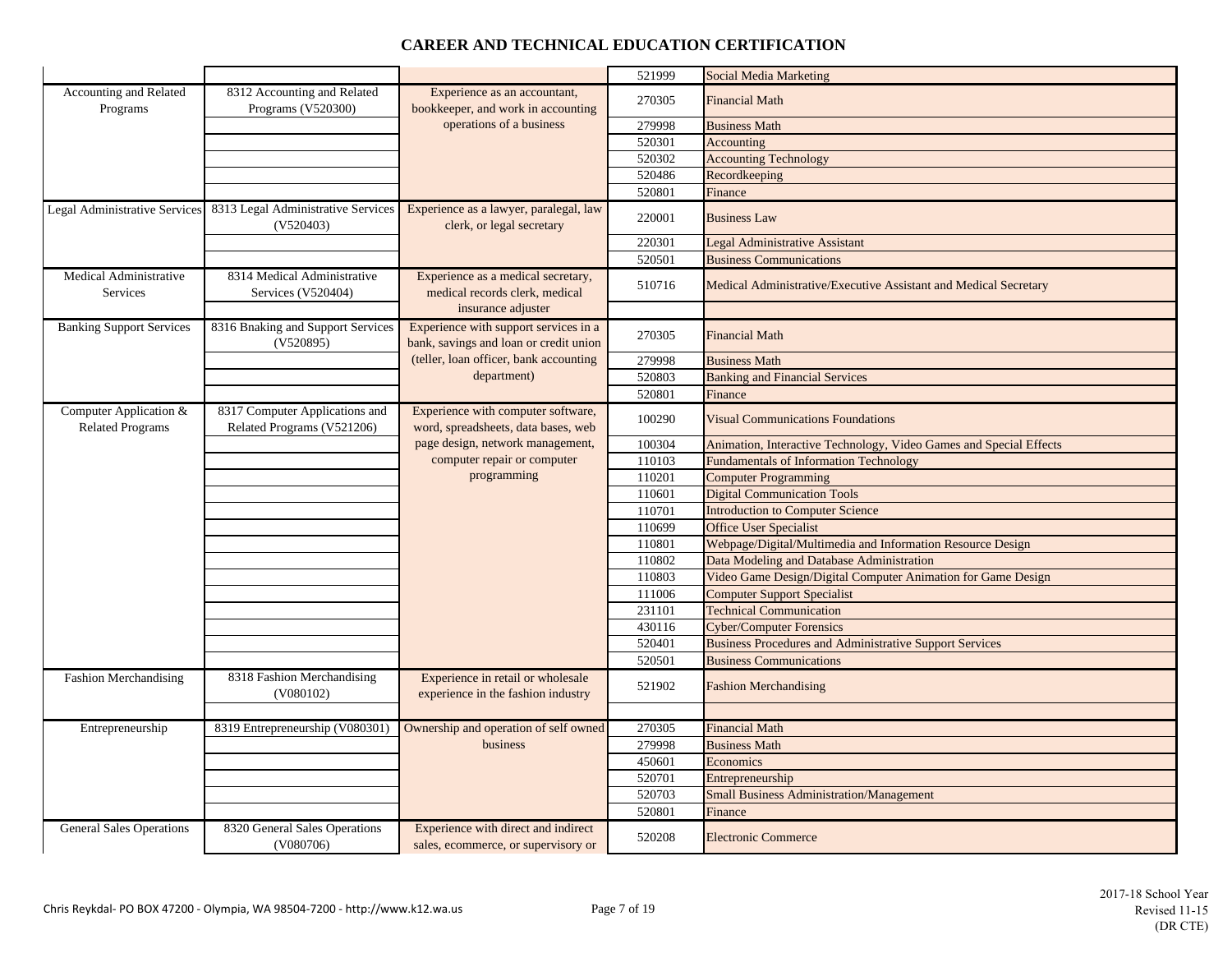|                                                   |                                                              |                                                                                 | 521999 | Social Media Marketing                                             |
|---------------------------------------------------|--------------------------------------------------------------|---------------------------------------------------------------------------------|--------|--------------------------------------------------------------------|
| Accounting and Related                            | 8312 Accounting and Related                                  | Experience as an accountant,                                                    | 270305 | <b>Financial Math</b>                                              |
| Programs                                          | Programs (V520300)                                           | bookkeeper, and work in accounting                                              |        |                                                                    |
|                                                   |                                                              | operations of a business                                                        | 279998 | <b>Business Math</b>                                               |
|                                                   |                                                              |                                                                                 | 520301 | Accounting                                                         |
|                                                   |                                                              |                                                                                 | 520302 | <b>Accounting Technology</b>                                       |
|                                                   |                                                              |                                                                                 | 520486 | Recordkeeping                                                      |
|                                                   |                                                              |                                                                                 | 520801 | Finance                                                            |
| Legal Administrative Services                     | 8313 Legal Administrative Services<br>(V520403)              | Experience as a lawyer, paralegal, law<br>clerk, or legal secretary             | 220001 | <b>Business Law</b>                                                |
|                                                   |                                                              |                                                                                 | 220301 | <b>Legal Administrative Assistant</b>                              |
|                                                   |                                                              |                                                                                 | 520501 | <b>Business Communications</b>                                     |
| Medical Administrative<br>Services                | 8314 Medical Administrative<br>Services (V520404)            | Experience as a medical secretary,<br>medical records clerk, medical            | 510716 | Medical Administrative/Executive Assistant and Medical Secretary   |
|                                                   |                                                              | insurance adjuster                                                              |        |                                                                    |
| <b>Banking Support Services</b>                   | 8316 Bnaking and Support Services<br>(V520895)               | Experience with support services in a<br>bank, savings and loan or credit union | 270305 | <b>Financial Math</b>                                              |
|                                                   |                                                              | (teller, loan officer, bank accounting                                          | 279998 | <b>Business Math</b>                                               |
|                                                   |                                                              | department)                                                                     | 520803 | <b>Banking and Financial Services</b>                              |
|                                                   |                                                              |                                                                                 | 520801 | Finance                                                            |
| Computer Application &<br><b>Related Programs</b> | 8317 Computer Applications and<br>Related Programs (V521206) | Experience with computer software,<br>word, spreadsheets, data bases, web       | 100290 | <b>Visual Communications Foundations</b>                           |
|                                                   |                                                              | page design, network management,                                                | 100304 | Animation, Interactive Technology, Video Games and Special Effects |
|                                                   |                                                              | computer repair or computer                                                     | 110103 | <b>Fundamentals of Information Technology</b>                      |
|                                                   |                                                              | programming                                                                     | 110201 | <b>Computer Programming</b>                                        |
|                                                   |                                                              |                                                                                 | 110601 | <b>Digital Communication Tools</b>                                 |
|                                                   |                                                              |                                                                                 | 110701 | <b>Introduction to Computer Science</b>                            |
|                                                   |                                                              |                                                                                 | 110699 | <b>Office User Specialist</b>                                      |
|                                                   |                                                              |                                                                                 | 110801 | Webpage/Digital/Multimedia and Information Resource Design         |
|                                                   |                                                              |                                                                                 | 110802 | Data Modeling and Database Administration                          |
|                                                   |                                                              |                                                                                 | 110803 | Video Game Design/Digital Computer Animation for Game Design       |
|                                                   |                                                              |                                                                                 | 111006 | <b>Computer Support Specialist</b>                                 |
|                                                   |                                                              |                                                                                 | 231101 | <b>Technical Communication</b>                                     |
|                                                   |                                                              |                                                                                 | 430116 | <b>Cyber/Computer Forensics</b>                                    |
|                                                   |                                                              |                                                                                 | 520401 | <b>Business Procedures and Administrative Support Services</b>     |
|                                                   |                                                              |                                                                                 | 520501 | <b>Business Communications</b>                                     |
| Fashion Merchandising                             | 8318 Fashion Merchandising<br>(V080102)                      | Experience in retail or wholesale<br>experience in the fashion industry         | 521902 | <b>Fashion Merchandising</b>                                       |
|                                                   |                                                              |                                                                                 |        |                                                                    |
| Entrepreneurship                                  | 8319 Entrepreneurship (V080301)                              | Ownership and operation of self owned                                           | 270305 | <b>Financial Math</b>                                              |
|                                                   |                                                              | business                                                                        | 279998 | <b>Business Math</b>                                               |
|                                                   |                                                              |                                                                                 | 450601 | Economics                                                          |
|                                                   |                                                              |                                                                                 | 520701 | Entrepreneurship                                                   |
|                                                   |                                                              |                                                                                 | 520703 | <b>Small Business Administration/Management</b>                    |
|                                                   |                                                              |                                                                                 | 520801 | Finance                                                            |
| <b>General Sales Operations</b>                   | 8320 General Sales Operations<br>(V080706)                   | Experience with direct and indirect<br>sales, ecommerce, or supervisory or      | 520208 | <b>Electronic Commerce</b>                                         |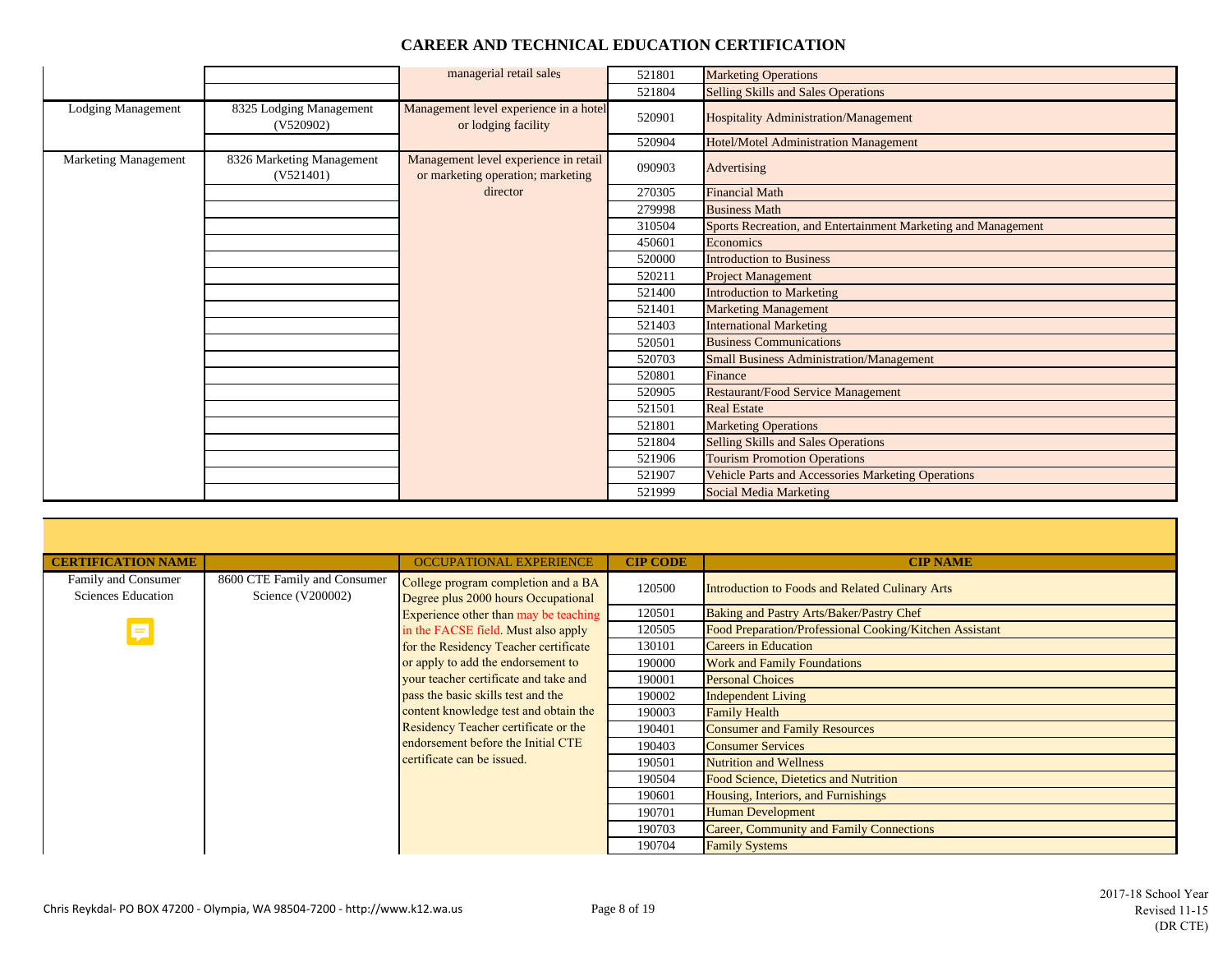|  |  |  | <b>CAREER AND TECHNICAL EDUCATION CERTIFICATION</b> |
|--|--|--|-----------------------------------------------------|
|--|--|--|-----------------------------------------------------|

|                           |                                        | managerial retail sales                                                    | 521801 | <b>Marketing Operations</b>                                   |
|---------------------------|----------------------------------------|----------------------------------------------------------------------------|--------|---------------------------------------------------------------|
|                           |                                        |                                                                            | 521804 | Selling Skills and Sales Operations                           |
| <b>Lodging Management</b> | 8325 Lodging Management<br>(V520902)   | Management level experience in a hotel<br>or lodging facility              | 520901 | Hospitality Administration/Management                         |
|                           |                                        |                                                                            | 520904 | Hotel/Motel Administration Management                         |
| Marketing Management      | 8326 Marketing Management<br>(V521401) | Management level experience in retail<br>or marketing operation; marketing | 090903 | Advertising                                                   |
|                           |                                        | director                                                                   | 270305 | <b>Financial Math</b>                                         |
|                           |                                        |                                                                            | 279998 | <b>Business Math</b>                                          |
|                           |                                        |                                                                            | 310504 | Sports Recreation, and Entertainment Marketing and Management |
|                           |                                        |                                                                            | 450601 | Economics                                                     |
|                           |                                        |                                                                            | 520000 | <b>Introduction to Business</b>                               |
|                           |                                        |                                                                            | 520211 | <b>Project Management</b>                                     |
|                           |                                        |                                                                            | 521400 | <b>Introduction to Marketing</b>                              |
|                           |                                        |                                                                            | 521401 | <b>Marketing Management</b>                                   |
|                           |                                        |                                                                            | 521403 | <b>International Marketing</b>                                |
|                           |                                        |                                                                            | 520501 | <b>Business Communications</b>                                |
|                           |                                        |                                                                            | 520703 | <b>Small Business Administration/Management</b>               |
|                           |                                        |                                                                            | 520801 | Finance                                                       |
|                           |                                        |                                                                            | 520905 | <b>Restaurant/Food Service Management</b>                     |
|                           |                                        |                                                                            | 521501 | <b>Real Estate</b>                                            |
|                           |                                        |                                                                            | 521801 | <b>Marketing Operations</b>                                   |
|                           |                                        |                                                                            | 521804 | Selling Skills and Sales Operations                           |
|                           |                                        |                                                                            | 521906 | <b>Tourism Promotion Operations</b>                           |
|                           |                                        |                                                                            | 521907 | Vehicle Parts and Accessories Marketing Operations            |
|                           |                                        |                                                                            | 521999 | <b>Social Media Marketing</b>                                 |

| <b>CERTIFICATION NAME</b> |                              | <b>OCCUPATIONAL EXPERIENCE</b>        | <b>CIP CODE</b> | <b>CIP NAME</b>                                         |
|---------------------------|------------------------------|---------------------------------------|-----------------|---------------------------------------------------------|
| Family and Consumer       | 8600 CTE Family and Consumer | College program completion and a BA   | 120500          | Introduction to Foods and Related Culinary Arts         |
| Sciences Education        | Science (V200002)            | Degree plus 2000 hours Occupational   |                 |                                                         |
|                           |                              | Experience other than may be teaching | 120501          | Baking and Pastry Arts/Baker/Pastry Chef                |
|                           |                              | in the FACSE field. Must also apply   | 120505          | Food Preparation/Professional Cooking/Kitchen Assistant |
|                           |                              | for the Residency Teacher certificate | 130101          | <b>Careers in Education</b>                             |
|                           |                              | or apply to add the endorsement to    | 190000          | <b>Work and Family Foundations</b>                      |
|                           |                              | your teacher certificate and take and | 190001          | <b>Personal Choices</b>                                 |
|                           |                              | pass the basic skills test and the    | 190002          | <b>Independent Living</b>                               |
|                           |                              | content knowledge test and obtain the | 190003          | <b>Family Health</b>                                    |
|                           |                              | Residency Teacher certificate or the  | 190401          | <b>Consumer and Family Resources</b>                    |
|                           |                              | endorsement before the Initial CTE    | 190403          | <b>Consumer Services</b>                                |
|                           |                              | certificate can be issued.            | 190501          | <b>Nutrition and Wellness</b>                           |
|                           |                              |                                       | 190504          | <b>Food Science, Dietetics and Nutrition</b>            |
|                           |                              |                                       | 190601          | Housing, Interiors, and Furnishings                     |
|                           |                              |                                       | 190701          | <b>Human Development</b>                                |
|                           |                              |                                       | 190703          | Career, Community and Family Connections                |
|                           |                              |                                       | 190704          | <b>Family Systems</b>                                   |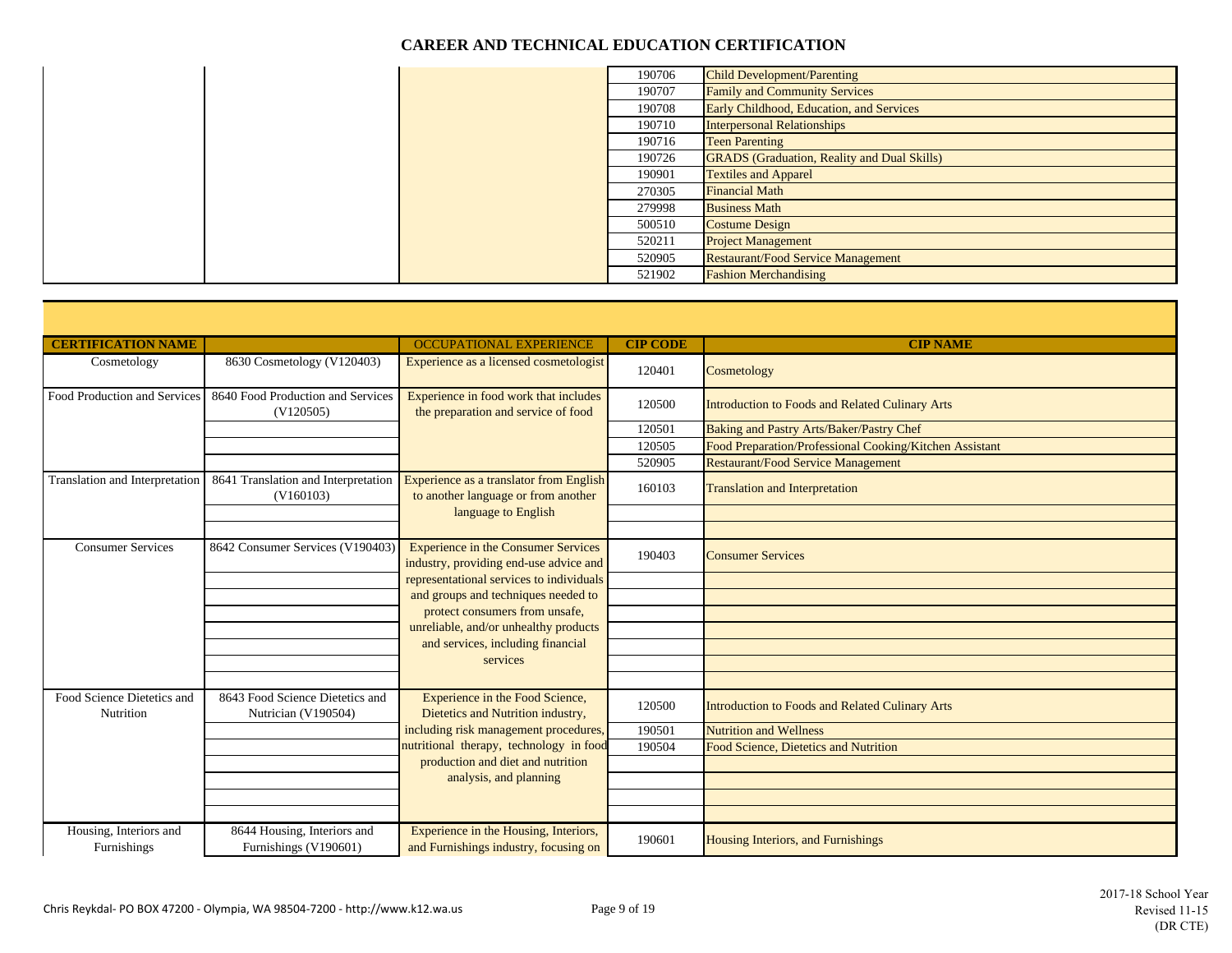|  | 190706 | <b>Child Development/Parenting</b>                 |
|--|--------|----------------------------------------------------|
|  | 190707 | <b>Family and Community Services</b>               |
|  | 190708 | Early Childhood, Education, and Services           |
|  | 190710 | <b>Interpersonal Relationships</b>                 |
|  | 190716 | <b>Teen Parenting</b>                              |
|  | 190726 | <b>GRADS</b> (Graduation, Reality and Dual Skills) |
|  | 190901 | <b>Textiles and Apparel</b>                        |
|  | 270305 | <b>Financial Math</b>                              |
|  | 279998 | <b>Business Math</b>                               |
|  | 500510 | <b>Costume Design</b>                              |
|  | 520211 | <b>Project Management</b>                          |
|  | 520905 | <b>Restaurant/Food Service Management</b>          |
|  | 521902 | <b>Fashion Merchandising</b>                       |

| <b>CERTIFICATION NAME</b>               |                                                        | <b>OCCUPATIONAL EXPERIENCE</b>                                                       | <b>CIP CODE</b> | <b>CIP NAME</b>                                         |
|-----------------------------------------|--------------------------------------------------------|--------------------------------------------------------------------------------------|-----------------|---------------------------------------------------------|
| Cosmetology                             | 8630 Cosmetology (V120403)                             | Experience as a licensed cosmetologist                                               | 120401          | Cosmetology                                             |
| Food Production and Services            | 8640 Food Production and Services<br>(V120505)         | Experience in food work that includes<br>the preparation and service of food         | 120500          | <b>Introduction to Foods and Related Culinary Arts</b>  |
|                                         |                                                        |                                                                                      | 120501          | Baking and Pastry Arts/Baker/Pastry Chef                |
|                                         |                                                        |                                                                                      | 120505          | Food Preparation/Professional Cooking/Kitchen Assistant |
|                                         |                                                        |                                                                                      | 520905          | <b>Restaurant/Food Service Management</b>               |
| Translation and Interpretation          | 8641 Translation and Interpretation<br>(V160103)       | Experience as a translator from English<br>to another language or from another       | 160103          | <b>Translation and Interpretation</b>                   |
|                                         |                                                        | language to English                                                                  |                 |                                                         |
|                                         |                                                        |                                                                                      |                 |                                                         |
| <b>Consumer Services</b>                | 8642 Consumer Services (V190403)                       | <b>Experience in the Consumer Services</b><br>industry, providing end-use advice and | 190403          | <b>Consumer Services</b>                                |
|                                         |                                                        | representational services to individuals                                             |                 |                                                         |
|                                         |                                                        | and groups and techniques needed to                                                  |                 |                                                         |
|                                         |                                                        | protect consumers from unsafe,                                                       |                 |                                                         |
|                                         |                                                        | unreliable, and/or unhealthy products<br>and services, including financial           |                 |                                                         |
|                                         |                                                        | services                                                                             |                 |                                                         |
|                                         |                                                        |                                                                                      |                 |                                                         |
|                                         |                                                        |                                                                                      |                 |                                                         |
| Food Science Dietetics and<br>Nutrition | 8643 Food Science Dietetics and<br>Nutrician (V190504) | Experience in the Food Science,<br>Dietetics and Nutrition industry,                 | 120500          | Introduction to Foods and Related Culinary Arts         |
|                                         |                                                        | including risk management procedures,                                                | 190501          | <b>Nutrition and Wellness</b>                           |
|                                         |                                                        | nutritional therapy, technology in food                                              | 190504          | Food Science, Dietetics and Nutrition                   |
|                                         |                                                        | production and diet and nutrition                                                    |                 |                                                         |
|                                         |                                                        | analysis, and planning                                                               |                 |                                                         |
|                                         |                                                        |                                                                                      |                 |                                                         |
|                                         |                                                        |                                                                                      |                 |                                                         |
| Housing, Interiors and<br>Furnishings   | 8644 Housing, Interiors and<br>Furnishings (V190601)   | Experience in the Housing, Interiors,<br>and Furnishings industry, focusing on       | 190601          | Housing Interiors, and Furnishings                      |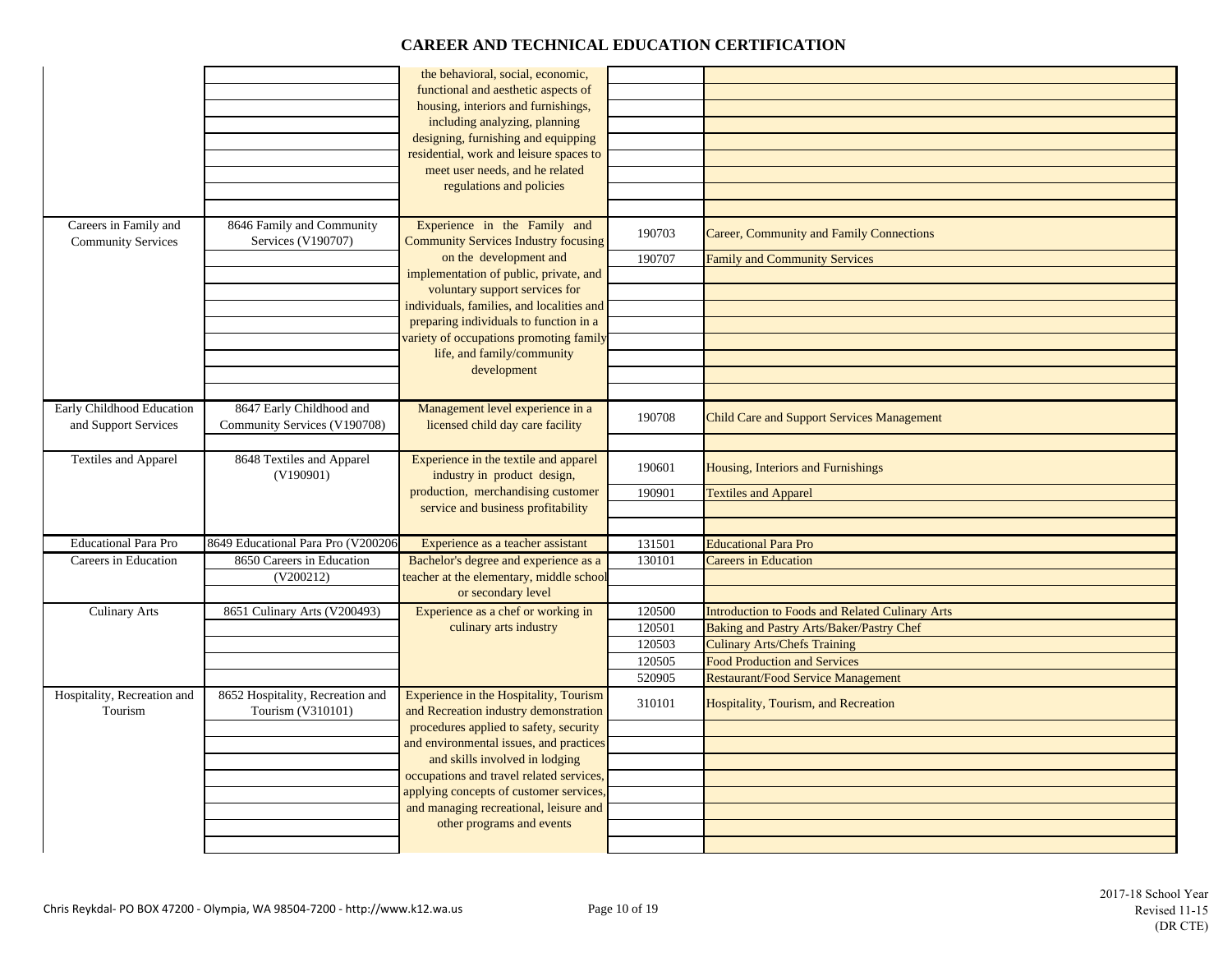|                                                    |                                                          | the behavioral, social, economic,<br>functional and aesthetic aspects of<br>housing, interiors and furnishings,<br>including analyzing, planning<br>designing, furnishing and equipping<br>residential, work and leisure spaces to<br>meet user needs, and he related<br>regulations and policies |                  |                                                                                 |
|----------------------------------------------------|----------------------------------------------------------|---------------------------------------------------------------------------------------------------------------------------------------------------------------------------------------------------------------------------------------------------------------------------------------------------|------------------|---------------------------------------------------------------------------------|
| Careers in Family and<br><b>Community Services</b> | 8646 Family and Community<br>Services (V190707)          | Experience in the Family and<br><b>Community Services Industry focusing</b>                                                                                                                                                                                                                       | 190703           | Career, Community and Family Connections                                        |
|                                                    |                                                          | on the development and                                                                                                                                                                                                                                                                            | 190707           | <b>Family and Community Services</b>                                            |
|                                                    |                                                          | implementation of public, private, and<br>voluntary support services for                                                                                                                                                                                                                          |                  |                                                                                 |
|                                                    |                                                          | individuals, families, and localities and                                                                                                                                                                                                                                                         |                  |                                                                                 |
|                                                    |                                                          | preparing individuals to function in a                                                                                                                                                                                                                                                            |                  |                                                                                 |
|                                                    |                                                          | variety of occupations promoting family                                                                                                                                                                                                                                                           |                  |                                                                                 |
|                                                    |                                                          | life, and family/community<br>development                                                                                                                                                                                                                                                         |                  |                                                                                 |
|                                                    |                                                          |                                                                                                                                                                                                                                                                                                   |                  |                                                                                 |
| Early Childhood Education<br>and Support Services  | 8647 Early Childhood and<br>Community Services (V190708) | Management level experience in a<br>licensed child day care facility                                                                                                                                                                                                                              | 190708           | <b>Child Care and Support Services Management</b>                               |
|                                                    |                                                          |                                                                                                                                                                                                                                                                                                   |                  |                                                                                 |
| Textiles and Apparel                               | 8648 Textiles and Apparel<br>(V190901)                   | Experience in the textile and apparel<br>industry in product design,                                                                                                                                                                                                                              | 190601           | Housing, Interiors and Furnishings                                              |
|                                                    |                                                          | production, merchandising customer<br>service and business profitability                                                                                                                                                                                                                          | 190901           | <b>Textiles and Apparel</b>                                                     |
|                                                    |                                                          |                                                                                                                                                                                                                                                                                                   |                  |                                                                                 |
| <b>Educational Para Pro</b>                        | 8649 Educational Para Pro (V200206                       | Experience as a teacher assistant                                                                                                                                                                                                                                                                 | 131501           | <b>Educational Para Pro</b>                                                     |
| Careers in Education                               | 8650 Careers in Education                                | Bachelor's degree and experience as a                                                                                                                                                                                                                                                             | 130101           | <b>Careers in Education</b>                                                     |
|                                                    | (V200212)                                                | teacher at the elementary, middle school                                                                                                                                                                                                                                                          |                  |                                                                                 |
|                                                    |                                                          | or secondary level                                                                                                                                                                                                                                                                                |                  |                                                                                 |
| <b>Culinary Arts</b>                               | 8651 Culinary Arts (V200493)                             | Experience as a chef or working in                                                                                                                                                                                                                                                                | 120500           | <b>Introduction to Foods and Related Culinary Arts</b>                          |
|                                                    |                                                          | culinary arts industry                                                                                                                                                                                                                                                                            | 120501<br>120503 | Baking and Pastry Arts/Baker/Pastry Chef<br><b>Culinary Arts/Chefs Training</b> |
|                                                    |                                                          |                                                                                                                                                                                                                                                                                                   | 120505           | <b>Food Production and Services</b>                                             |
|                                                    |                                                          |                                                                                                                                                                                                                                                                                                   | 520905           | <b>Restaurant/Food Service Management</b>                                       |
| Hospitality, Recreation and<br>Tourism             | 8652 Hospitality, Recreation and<br>Tourism (V310101)    | Experience in the Hospitality, Tourism<br>and Recreation industry demonstration                                                                                                                                                                                                                   | 310101           | <b>Hospitality, Tourism, and Recreation</b>                                     |
|                                                    |                                                          | procedures applied to safety, security                                                                                                                                                                                                                                                            |                  |                                                                                 |
|                                                    |                                                          | and environmental issues, and practices                                                                                                                                                                                                                                                           |                  |                                                                                 |
|                                                    |                                                          | and skills involved in lodging<br>occupations and travel related services,                                                                                                                                                                                                                        |                  |                                                                                 |
|                                                    |                                                          | applying concepts of customer services,                                                                                                                                                                                                                                                           |                  |                                                                                 |
|                                                    |                                                          | and managing recreational, leisure and                                                                                                                                                                                                                                                            |                  |                                                                                 |
|                                                    |                                                          | other programs and events                                                                                                                                                                                                                                                                         |                  |                                                                                 |
|                                                    |                                                          |                                                                                                                                                                                                                                                                                                   |                  |                                                                                 |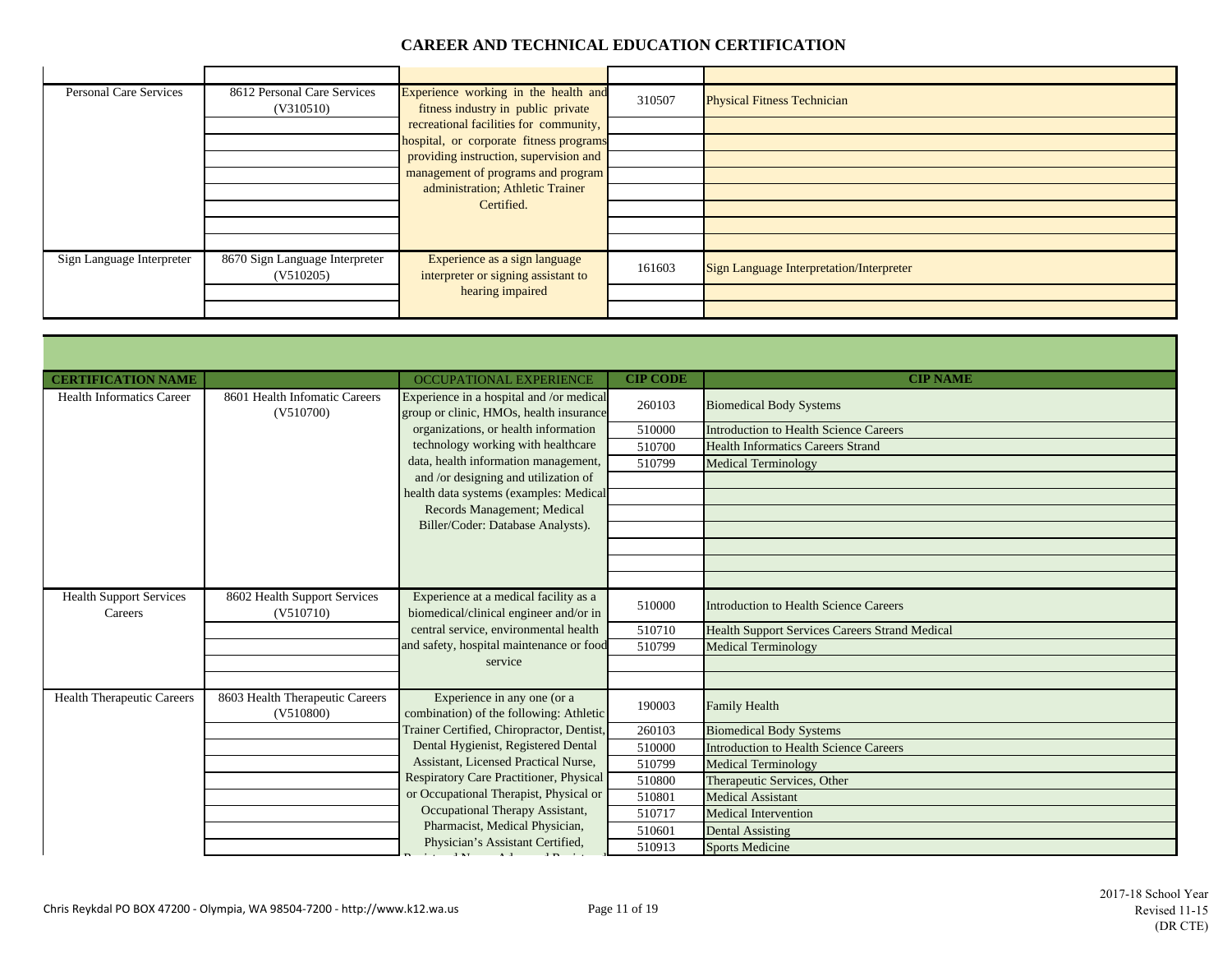$\sim$ 

| <b>Personal Care Services</b> | 8612 Personal Care Services<br>(V310510)    | Experience working in the health and<br>fitness industry in public private | 310507 | <b>Physical Fitness Technician</b>              |
|-------------------------------|---------------------------------------------|----------------------------------------------------------------------------|--------|-------------------------------------------------|
|                               |                                             | recreational facilities for community,                                     |        |                                                 |
|                               |                                             | hospital, or corporate fitness programs                                    |        |                                                 |
|                               |                                             | providing instruction, supervision and                                     |        |                                                 |
|                               |                                             | management of programs and program                                         |        |                                                 |
|                               |                                             | administration; Athletic Trainer                                           |        |                                                 |
|                               |                                             | Certified.                                                                 |        |                                                 |
|                               |                                             |                                                                            |        |                                                 |
|                               |                                             |                                                                            |        |                                                 |
| Sign Language Interpreter     | 8670 Sign Language Interpreter<br>(V510205) | Experience as a sign language<br>interpreter or signing assistant to       | 161603 | <b>Sign Language Interpretation/Interpreter</b> |
|                               |                                             | hearing impaired                                                           |        |                                                 |
|                               |                                             |                                                                            |        |                                                 |

| <b>CERTIFICATION NAME</b>                 |                                              | <b>OCCUPATIONAL EXPERIENCE</b>                                                      | <b>CIP CODE</b> | <b>CIP NAME</b>                                       |
|-------------------------------------------|----------------------------------------------|-------------------------------------------------------------------------------------|-----------------|-------------------------------------------------------|
| <b>Health Informatics Career</b>          | 8601 Health Infomatic Careers<br>(V510700)   | Experience in a hospital and /or medical<br>group or clinic, HMOs, health insurance | 260103          | <b>Biomedical Body Systems</b>                        |
|                                           |                                              | organizations, or health information                                                | 510000          | Introduction to Health Science Careers                |
|                                           |                                              | technology working with healthcare                                                  | 510700          | <b>Health Informatics Careers Strand</b>              |
|                                           |                                              | data, health information management,                                                | 510799          | <b>Medical Terminology</b>                            |
|                                           |                                              | and /or designing and utilization of                                                |                 |                                                       |
|                                           |                                              | health data systems (examples: Medical                                              |                 |                                                       |
|                                           |                                              | Records Management; Medical                                                         |                 |                                                       |
|                                           |                                              | Biller/Coder: Database Analysts).                                                   |                 |                                                       |
|                                           |                                              |                                                                                     |                 |                                                       |
|                                           |                                              |                                                                                     |                 |                                                       |
|                                           |                                              |                                                                                     |                 |                                                       |
| <b>Health Support Services</b><br>Careers | 8602 Health Support Services<br>(V510710)    | Experience at a medical facility as a<br>biomedical/clinical engineer and/or in     | 510000          | Introduction to Health Science Careers                |
|                                           |                                              | central service, environmental health                                               | 510710          | <b>Health Support Services Careers Strand Medical</b> |
|                                           |                                              | and safety, hospital maintenance or food                                            | 510799          | <b>Medical Terminology</b>                            |
|                                           |                                              | service                                                                             |                 |                                                       |
|                                           |                                              |                                                                                     |                 |                                                       |
| <b>Health Therapeutic Careers</b>         | 8603 Health Therapeutic Careers<br>(V510800) | Experience in any one (or a<br>combination) of the following: Athletic              | 190003          | Family Health                                         |
|                                           |                                              | Trainer Certified, Chiropractor, Dentist,                                           | 260103          | <b>Biomedical Body Systems</b>                        |
|                                           |                                              | Dental Hygienist, Registered Dental                                                 | 510000          | <b>Introduction to Health Science Careers</b>         |
|                                           |                                              | Assistant, Licensed Practical Nurse,                                                | 510799          | <b>Medical Terminology</b>                            |
|                                           |                                              | Respiratory Care Practitioner, Physical                                             | 510800          | Therapeutic Services, Other                           |
|                                           |                                              | or Occupational Therapist, Physical or                                              | 510801          | <b>Medical Assistant</b>                              |
|                                           |                                              | Occupational Therapy Assistant,                                                     | 510717          | Medical Intervention                                  |
|                                           |                                              | Pharmacist, Medical Physician,                                                      | 510601          | <b>Dental Assisting</b>                               |
|                                           |                                              | Physician's Assistant Certified,<br>1.3.7                                           | 510913          | <b>Sports Medicine</b>                                |

з.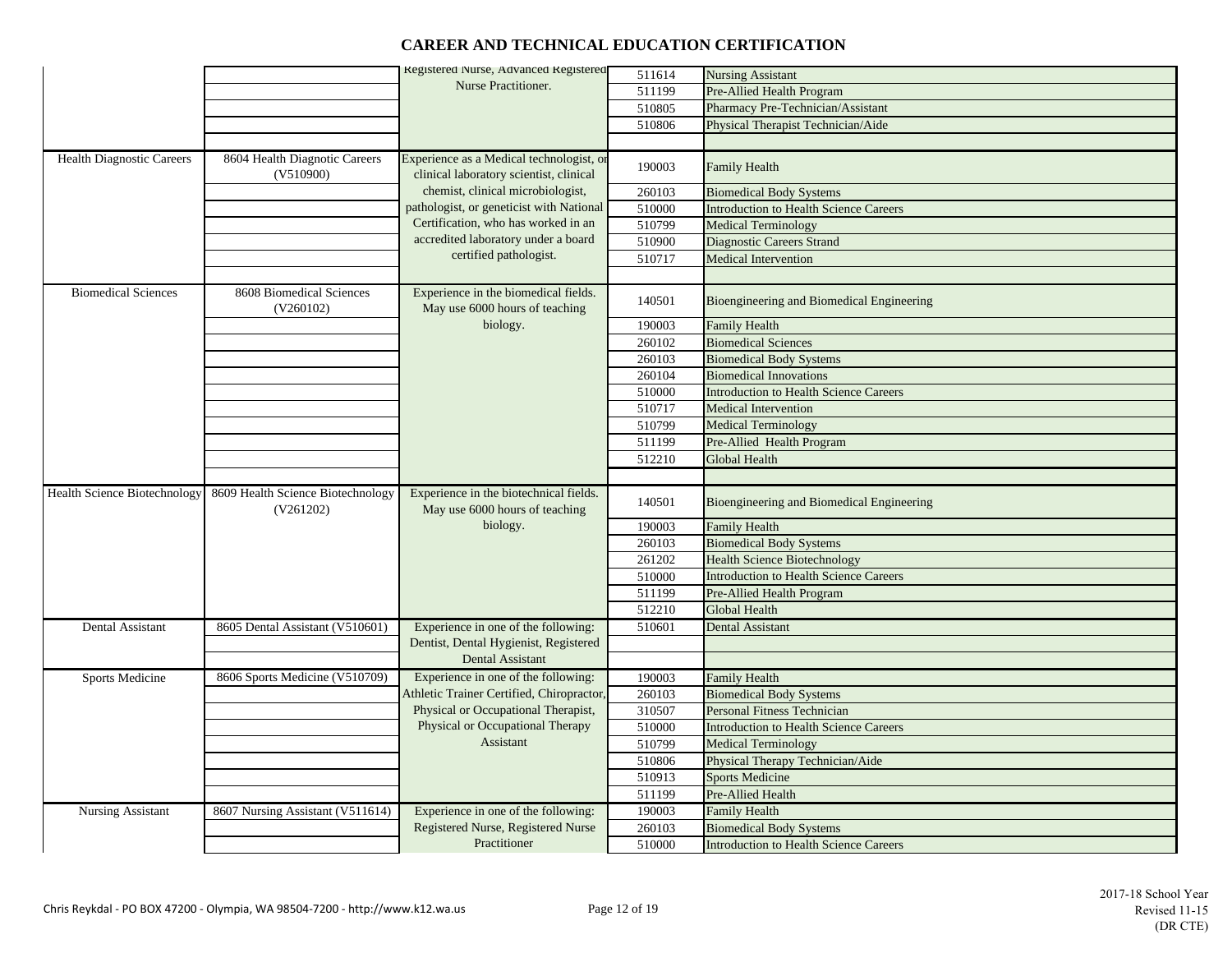|                                     |                                                | Registered Nurse, Advanced Registered<br>Nurse Practitioner.                        | 511614 | <b>Nursing Assistant</b>                      |
|-------------------------------------|------------------------------------------------|-------------------------------------------------------------------------------------|--------|-----------------------------------------------|
|                                     |                                                |                                                                                     | 511199 | Pre-Allied Health Program                     |
|                                     |                                                |                                                                                     | 510805 | Pharmacy Pre-Technician/Assistant             |
|                                     |                                                |                                                                                     | 510806 | Physical Therapist Technician/Aide            |
|                                     |                                                |                                                                                     |        |                                               |
| <b>Health Diagnostic Careers</b>    | 8604 Health Diagnotic Careers<br>(V510900)     | Experience as a Medical technologist, or<br>clinical laboratory scientist, clinical | 190003 | <b>Family Health</b>                          |
|                                     |                                                | chemist, clinical microbiologist,                                                   | 260103 | <b>Biomedical Body Systems</b>                |
|                                     |                                                | pathologist, or geneticist with National                                            | 510000 | <b>Introduction to Health Science Careers</b> |
|                                     |                                                | Certification, who has worked in an                                                 | 510799 | <b>Medical Terminology</b>                    |
|                                     |                                                | accredited laboratory under a board                                                 | 510900 | Diagnostic Careers Strand                     |
|                                     |                                                | certified pathologist.                                                              | 510717 | Medical Intervention                          |
|                                     |                                                |                                                                                     |        |                                               |
| <b>Biomedical Sciences</b>          | 8608 Biomedical Sciences<br>(V260102)          | Experience in the biomedical fields.<br>May use 6000 hours of teaching              | 140501 | Bioengineering and Biomedical Engineering     |
|                                     |                                                | biology.                                                                            | 190003 | <b>Family Health</b>                          |
|                                     |                                                |                                                                                     | 260102 | <b>Biomedical Sciences</b>                    |
|                                     |                                                |                                                                                     | 260103 | <b>Biomedical Body Systems</b>                |
|                                     |                                                |                                                                                     | 260104 | <b>Biomedical Innovations</b>                 |
|                                     |                                                |                                                                                     | 510000 | <b>Introduction to Health Science Careers</b> |
|                                     |                                                |                                                                                     | 510717 | <b>Medical Intervention</b>                   |
|                                     |                                                |                                                                                     | 510799 | <b>Medical Terminology</b>                    |
|                                     |                                                |                                                                                     | 511199 | Pre-Allied Health Program                     |
|                                     |                                                |                                                                                     | 512210 | Global Health                                 |
|                                     |                                                |                                                                                     |        |                                               |
| <b>Health Science Biotechnology</b> | 8609 Health Science Biotechnology<br>(V261202) | Experience in the biotechnical fields.<br>May use 6000 hours of teaching            | 140501 | Bioengineering and Biomedical Engineering     |
|                                     |                                                | biology.                                                                            | 190003 | <b>Family Health</b>                          |
|                                     |                                                |                                                                                     | 260103 | <b>Biomedical Body Systems</b>                |
|                                     |                                                |                                                                                     | 261202 | <b>Health Science Biotechnology</b>           |
|                                     |                                                |                                                                                     | 510000 | <b>Introduction to Health Science Careers</b> |
|                                     |                                                |                                                                                     | 511199 | Pre-Allied Health Program                     |
|                                     |                                                |                                                                                     | 512210 | Global Health                                 |
| Dental Assistant                    | 8605 Dental Assistant (V510601)                | Experience in one of the following:                                                 | 510601 | <b>Dental Assistant</b>                       |
|                                     |                                                | Dentist, Dental Hygienist, Registered                                               |        |                                               |
|                                     |                                                | Dental Assistant                                                                    |        |                                               |
| <b>Sports Medicine</b>              | 8606 Sports Medicine (V510709)                 | Experience in one of the following:                                                 | 190003 | Family Health                                 |
|                                     |                                                | Athletic Trainer Certified, Chiropractor,                                           | 260103 | <b>Biomedical Body Systems</b>                |
|                                     |                                                | Physical or Occupational Therapist,                                                 | 310507 | Personal Fitness Technician                   |
|                                     |                                                | Physical or Occupational Therapy                                                    | 510000 | <b>Introduction to Health Science Careers</b> |
|                                     |                                                | Assistant                                                                           | 510799 | <b>Medical Terminology</b>                    |
|                                     |                                                |                                                                                     | 510806 | Physical Therapy Technician/Aide              |
|                                     |                                                |                                                                                     | 510913 | <b>Sports Medicine</b>                        |
|                                     |                                                |                                                                                     | 511199 | Pre-Allied Health                             |
| <b>Nursing Assistant</b>            | 8607 Nursing Assistant (V511614)               | Experience in one of the following:                                                 | 190003 | <b>Family Health</b>                          |
|                                     |                                                | Registered Nurse, Registered Nurse                                                  | 260103 | <b>Biomedical Body Systems</b>                |
|                                     |                                                | Practitioner                                                                        | 510000 | <b>Introduction to Health Science Careers</b> |
|                                     |                                                |                                                                                     |        |                                               |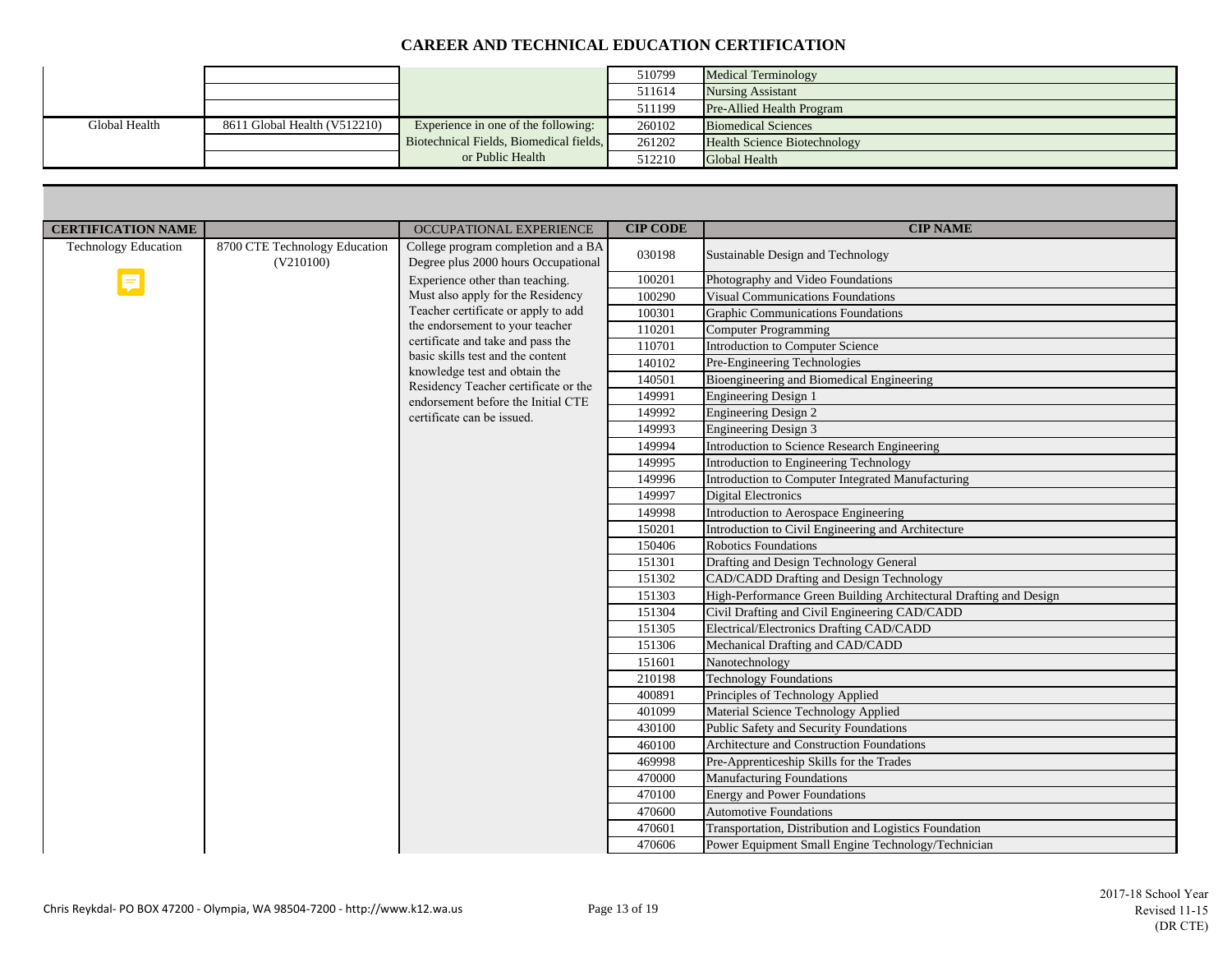|               |                              |                                         | 510799 | <b>Medical Terminology</b>          |
|---------------|------------------------------|-----------------------------------------|--------|-------------------------------------|
|               |                              |                                         | 511614 | <b>Nursing Assistant</b>            |
|               |                              |                                         | 511199 | <b>Pre-Allied Health Program</b>    |
| Global Health | 8611 Global Health (V512210) | Experience in one of the following:     | 260102 | <b>Biomedical Sciences</b>          |
|               |                              | Biotechnical Fields, Biomedical fields, | 261202 | <b>Health Science Biotechnology</b> |
|               |                              | or Public Health                        | 512210 | Global Health                       |

| <b>CERTIFICATION NAME</b>   |                                            | OCCUPATIONAL EXPERIENCE                                                    | <b>CIP CODE</b> | <b>CIP NAME</b>                                                   |
|-----------------------------|--------------------------------------------|----------------------------------------------------------------------------|-----------------|-------------------------------------------------------------------|
| <b>Technology Education</b> | 8700 CTE Technology Education<br>(V210100) | College program completion and a BA<br>Degree plus 2000 hours Occupational | 030198          | Sustainable Design and Technology                                 |
|                             |                                            | Experience other than teaching.                                            | 100201          | Photography and Video Foundations                                 |
|                             |                                            | Must also apply for the Residency                                          | 100290          | <b>Visual Communications Foundations</b>                          |
|                             |                                            | Teacher certificate or apply to add                                        | 100301          | Graphic Communications Foundations                                |
|                             |                                            | the endorsement to your teacher                                            | 110201          | <b>Computer Programming</b>                                       |
|                             |                                            | certificate and take and pass the                                          | 110701          | Introduction to Computer Science                                  |
|                             |                                            | basic skills test and the content                                          | 140102          | Pre-Engineering Technologies                                      |
|                             |                                            | knowledge test and obtain the<br>Residency Teacher certificate or the      | 140501          | Bioengineering and Biomedical Engineering                         |
|                             |                                            | endorsement before the Initial CTE                                         | 149991          | <b>Engineering Design 1</b>                                       |
|                             |                                            | certificate can be issued.                                                 | 149992          | <b>Engineering Design 2</b>                                       |
|                             |                                            |                                                                            | 149993          | <b>Engineering Design 3</b>                                       |
|                             |                                            |                                                                            | 149994          | Introduction to Science Research Engineering                      |
|                             |                                            |                                                                            | 149995          | Introduction to Engineering Technology                            |
|                             |                                            |                                                                            | 149996          | Introduction to Computer Integrated Manufacturing                 |
|                             |                                            |                                                                            | 149997          | <b>Digital Electronics</b>                                        |
|                             |                                            |                                                                            | 149998          | Introduction to Aerospace Engineering                             |
|                             |                                            |                                                                            | 150201          | Introduction to Civil Engineering and Architecture                |
|                             |                                            |                                                                            | 150406          | <b>Robotics Foundations</b>                                       |
|                             |                                            |                                                                            | 151301          | Drafting and Design Technology General                            |
|                             |                                            |                                                                            | 151302          | CAD/CADD Drafting and Design Technology                           |
|                             |                                            |                                                                            | 151303          | High-Performance Green Building Architectural Drafting and Design |
|                             |                                            |                                                                            | 151304          | Civil Drafting and Civil Engineering CAD/CADD                     |
|                             |                                            |                                                                            | 151305          | Electrical/Electronics Drafting CAD/CADD                          |
|                             |                                            |                                                                            | 151306          | Mechanical Drafting and CAD/CADD                                  |
|                             |                                            |                                                                            | 151601          | Nanotechnology                                                    |
|                             |                                            |                                                                            | 210198          | <b>Technology Foundations</b>                                     |
|                             |                                            |                                                                            | 400891          | Principles of Technology Applied                                  |
|                             |                                            |                                                                            | 401099          | Material Science Technology Applied                               |
|                             |                                            |                                                                            | 430100          | Public Safety and Security Foundations                            |
|                             |                                            |                                                                            | 460100          | Architecture and Construction Foundations                         |
|                             |                                            |                                                                            | 469998          | Pre-Apprenticeship Skills for the Trades                          |
|                             |                                            |                                                                            | 470000          | <b>Manufacturing Foundations</b>                                  |
|                             |                                            |                                                                            | 470100          | <b>Energy and Power Foundations</b>                               |
|                             |                                            |                                                                            | 470600          | <b>Automotive Foundations</b>                                     |
|                             |                                            |                                                                            | 470601          | Transportation, Distribution and Logistics Foundation             |
|                             |                                            |                                                                            | 470606          | Power Equipment Small Engine Technology/Technician                |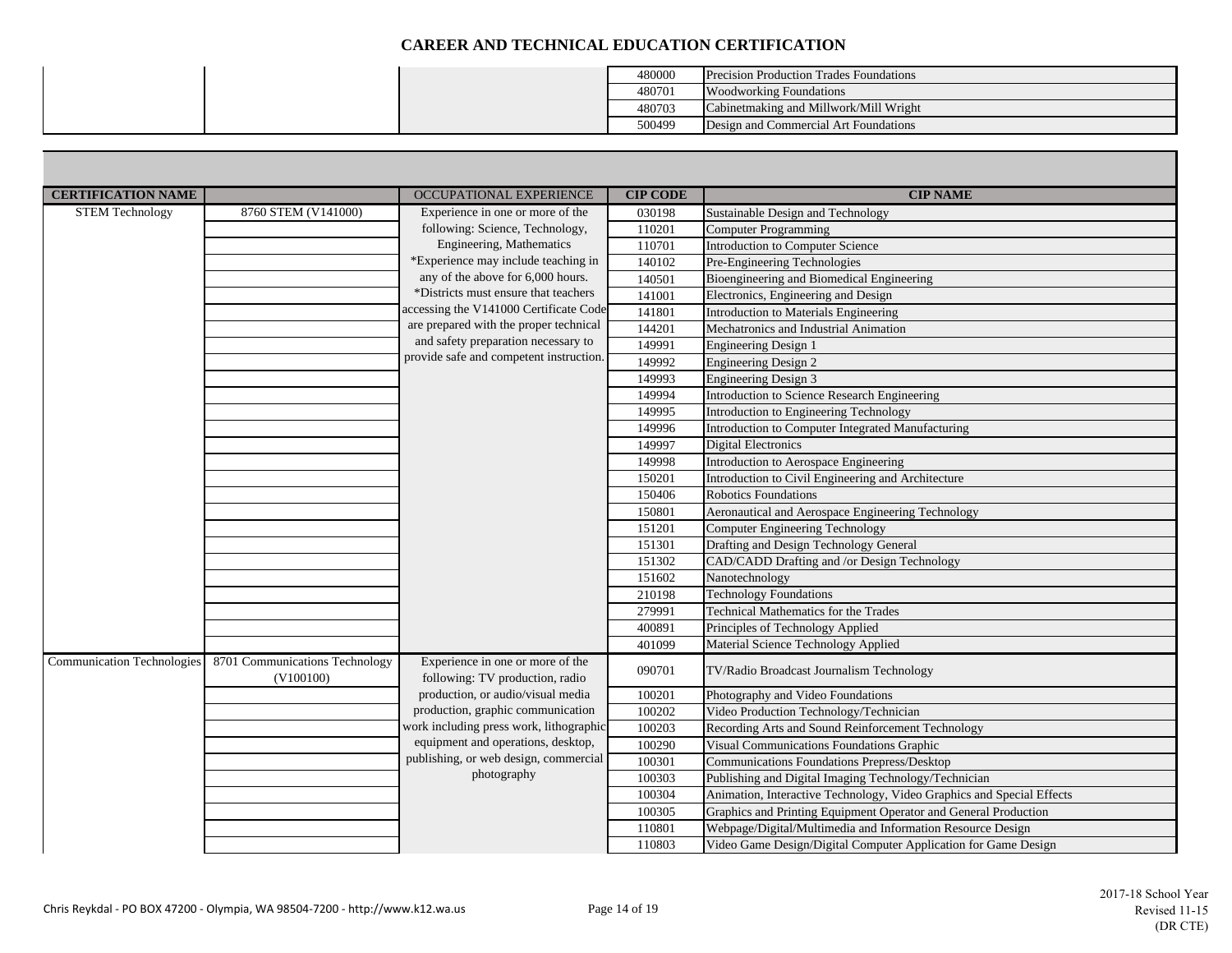|  | 480000 | <b>Precision Production Trades Foundations</b> |
|--|--------|------------------------------------------------|
|  | 480701 | <b>Woodworking Foundations</b>                 |
|  | 480703 | Cabinetmaking and Millwork/Mill Wright         |
|  | 500499 | Design and Commercial Art Foundations          |

| <b>CERTIFICATION NAME</b>         |                                             | <b>OCCUPATIONAL EXPERIENCE</b>                                      | <b>CIP CODE</b> | <b>CIP NAME</b>                                                       |
|-----------------------------------|---------------------------------------------|---------------------------------------------------------------------|-----------------|-----------------------------------------------------------------------|
| <b>STEM Technology</b>            | 8760 STEM (V141000)                         | Experience in one or more of the                                    | 030198          | Sustainable Design and Technology                                     |
|                                   |                                             | following: Science, Technology,                                     | 110201          | <b>Computer Programming</b>                                           |
|                                   |                                             | Engineering, Mathematics                                            | 110701          | Introduction to Computer Science                                      |
|                                   |                                             | *Experience may include teaching in                                 | 140102          | Pre-Engineering Technologies                                          |
|                                   |                                             | any of the above for 6,000 hours.                                   | 140501          | Bioengineering and Biomedical Engineering                             |
|                                   |                                             | *Districts must ensure that teachers                                | 141001          | Electronics, Engineering and Design                                   |
|                                   |                                             | accessing the V141000 Certificate Code                              | 141801          | Introduction to Materials Engineering                                 |
|                                   |                                             | are prepared with the proper technical                              | 144201          | Mechatronics and Industrial Animation                                 |
|                                   |                                             | and safety preparation necessary to                                 | 149991          | <b>Engineering Design 1</b>                                           |
|                                   |                                             | provide safe and competent instruction.                             | 149992          | <b>Engineering Design 2</b>                                           |
|                                   |                                             |                                                                     | 149993          | <b>Engineering Design 3</b>                                           |
|                                   |                                             |                                                                     | 149994          | Introduction to Science Research Engineering                          |
|                                   |                                             |                                                                     | 149995          | Introduction to Engineering Technology                                |
|                                   |                                             |                                                                     | 149996          | Introduction to Computer Integrated Manufacturing                     |
|                                   |                                             |                                                                     | 149997          | <b>Digital Electronics</b>                                            |
|                                   |                                             |                                                                     | 149998          | Introduction to Aerospace Engineering                                 |
|                                   |                                             |                                                                     | 150201          | Introduction to Civil Engineering and Architecture                    |
|                                   |                                             |                                                                     | 150406          | <b>Robotics Foundations</b>                                           |
|                                   |                                             |                                                                     | 150801          | Aeronautical and Aerospace Engineering Technology                     |
|                                   |                                             |                                                                     | 151201          | Computer Engineering Technology                                       |
|                                   |                                             |                                                                     | 151301          | Drafting and Design Technology General                                |
|                                   |                                             |                                                                     | 151302          | CAD/CADD Drafting and /or Design Technology                           |
|                                   |                                             |                                                                     | 151602          | Nanotechnology                                                        |
|                                   |                                             |                                                                     | 210198          | <b>Technology Foundations</b>                                         |
|                                   |                                             |                                                                     | 279991          | Technical Mathematics for the Trades                                  |
|                                   |                                             |                                                                     | 400891          | Principles of Technology Applied                                      |
|                                   |                                             |                                                                     | 401099          | Material Science Technology Applied                                   |
| <b>Communication Technologies</b> | 8701 Communications Technology<br>(V100100) | Experience in one or more of the<br>following: TV production, radio | 090701          | TV/Radio Broadcast Journalism Technology                              |
|                                   |                                             | production, or audio/visual media                                   | 100201          | Photography and Video Foundations                                     |
|                                   |                                             | production, graphic communication                                   | 100202          | Video Production Technology/Technician                                |
|                                   |                                             | work including press work, lithographic                             | 100203          | Recording Arts and Sound Reinforcement Technology                     |
|                                   |                                             | equipment and operations, desktop,                                  | 100290          | Visual Communications Foundations Graphic                             |
|                                   |                                             | publishing, or web design, commercial                               | 100301          | Communications Foundations Prepress/Desktop                           |
|                                   |                                             | photography                                                         | 100303          | Publishing and Digital Imaging Technology/Technician                  |
|                                   |                                             |                                                                     | 100304          | Animation, Interactive Technology, Video Graphics and Special Effects |
|                                   |                                             |                                                                     | 100305          | Graphics and Printing Equipment Operator and General Production       |
|                                   |                                             |                                                                     | 110801          | Webpage/Digital/Multimedia and Information Resource Design            |
|                                   |                                             |                                                                     | 110803          | Video Game Design/Digital Computer Application for Game Design        |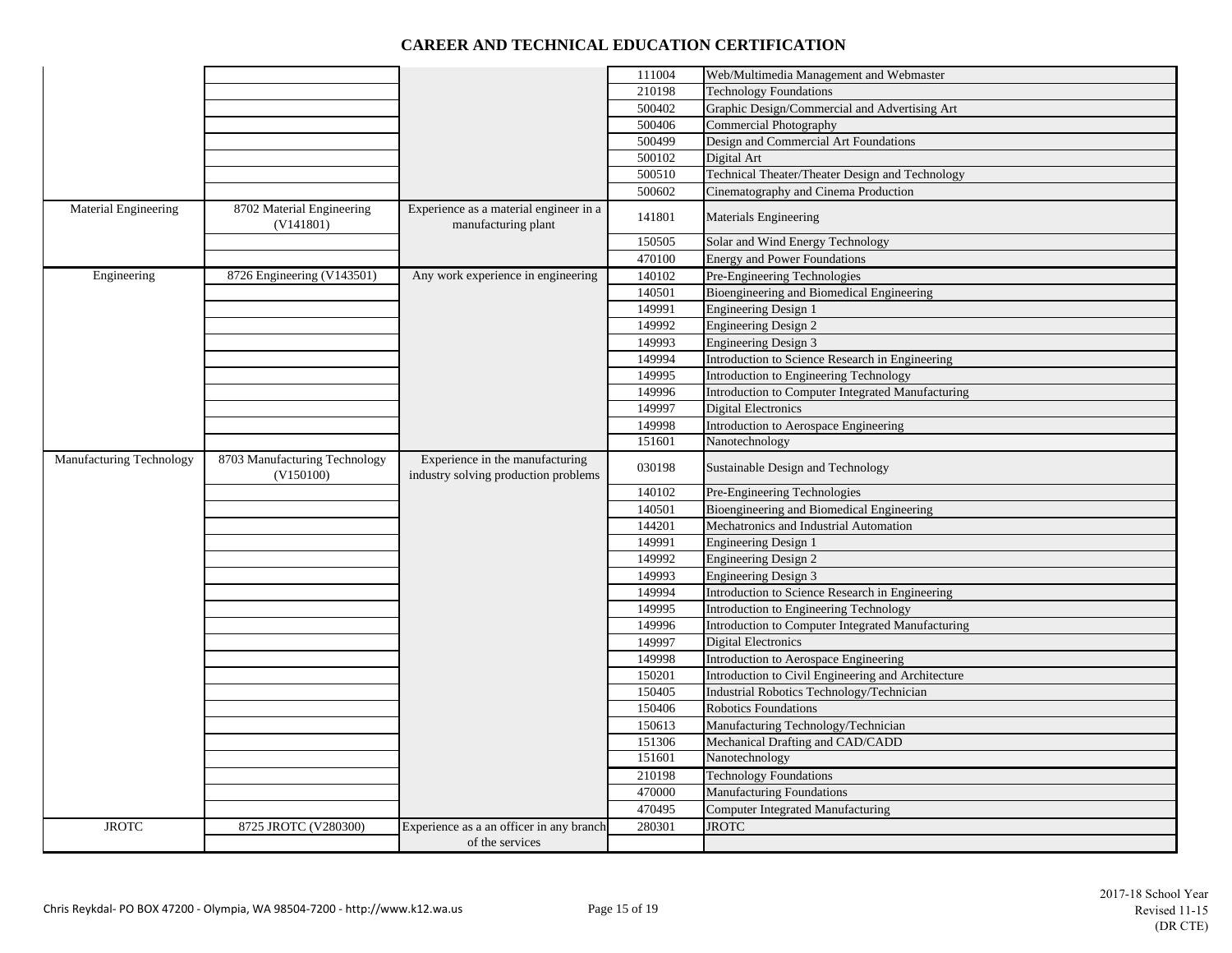|                                 |                                            |                                                                         | 111004 | Web/Multimedia Management and Webmaster            |
|---------------------------------|--------------------------------------------|-------------------------------------------------------------------------|--------|----------------------------------------------------|
|                                 |                                            |                                                                         | 210198 | <b>Technology Foundations</b>                      |
|                                 |                                            |                                                                         | 500402 | Graphic Design/Commercial and Advertising Art      |
|                                 |                                            |                                                                         | 500406 | <b>Commercial Photography</b>                      |
|                                 |                                            |                                                                         | 500499 | Design and Commercial Art Foundations              |
|                                 |                                            |                                                                         | 500102 | Digital Art                                        |
|                                 |                                            |                                                                         | 500510 | Technical Theater/Theater Design and Technology    |
|                                 |                                            |                                                                         | 500602 | Cinematography and Cinema Production               |
| Material Engineering            | 8702 Material Engineering<br>(V141801)     | Experience as a material engineer in a<br>manufacturing plant           | 141801 | Materials Engineering                              |
|                                 |                                            |                                                                         | 150505 | Solar and Wind Energy Technology                   |
|                                 |                                            |                                                                         | 470100 | <b>Energy and Power Foundations</b>                |
| Engineering                     | 8726 Engineering (V143501)                 | Any work experience in engineering                                      | 140102 | Pre-Engineering Technologies                       |
|                                 |                                            |                                                                         | 140501 | Bioengineering and Biomedical Engineering          |
|                                 |                                            |                                                                         | 149991 | <b>Engineering Design 1</b>                        |
|                                 |                                            |                                                                         | 149992 | <b>Engineering Design 2</b>                        |
|                                 |                                            |                                                                         | 149993 | Engineering Design 3                               |
|                                 |                                            |                                                                         | 149994 | Introduction to Science Research in Engineering    |
|                                 |                                            |                                                                         | 149995 | Introduction to Engineering Technology             |
|                                 |                                            |                                                                         | 149996 | Introduction to Computer Integrated Manufacturing  |
|                                 |                                            |                                                                         | 149997 | <b>Digital Electronics</b>                         |
|                                 |                                            |                                                                         | 149998 | Introduction to Aerospace Engineering              |
|                                 |                                            |                                                                         | 151601 | Nanotechnology                                     |
| <b>Manufacturing Technology</b> | 8703 Manufacturing Technology<br>(V150100) | Experience in the manufacturing<br>industry solving production problems | 030198 | Sustainable Design and Technology                  |
|                                 |                                            |                                                                         | 140102 | Pre-Engineering Technologies                       |
|                                 |                                            |                                                                         | 140501 | Bioengineering and Biomedical Engineering          |
|                                 |                                            |                                                                         | 144201 | Mechatronics and Industrial Automation             |
|                                 |                                            |                                                                         | 149991 | <b>Engineering Design 1</b>                        |
|                                 |                                            |                                                                         | 149992 | Engineering Design 2                               |
|                                 |                                            |                                                                         | 149993 | <b>Engineering Design 3</b>                        |
|                                 |                                            |                                                                         | 149994 | Introduction to Science Research in Engineering    |
|                                 |                                            |                                                                         | 149995 | Introduction to Engineering Technology             |
|                                 |                                            |                                                                         | 149996 | Introduction to Computer Integrated Manufacturing  |
|                                 |                                            |                                                                         | 149997 | <b>Digital Electronics</b>                         |
|                                 |                                            |                                                                         | 149998 | Introduction to Aerospace Engineering              |
|                                 |                                            |                                                                         | 150201 | Introduction to Civil Engineering and Architecture |
|                                 |                                            |                                                                         | 150405 | Industrial Robotics Technology/Technician          |
|                                 |                                            |                                                                         | 150406 | <b>Robotics Foundations</b>                        |
|                                 |                                            |                                                                         | 150613 | Manufacturing Technology/Technician                |
|                                 |                                            |                                                                         | 151306 | Mechanical Drafting and CAD/CADD                   |
|                                 |                                            |                                                                         | 151601 | Nanotechnology                                     |
|                                 |                                            |                                                                         | 210198 | <b>Technology Foundations</b>                      |
|                                 |                                            |                                                                         | 470000 | <b>Manufacturing Foundations</b>                   |
|                                 |                                            |                                                                         | 470495 | <b>Computer Integrated Manufacturing</b>           |
| <b>JROTC</b>                    | 8725 JROTC (V280300)                       | Experience as a an officer in any branch                                | 280301 | <b>JROTC</b>                                       |
|                                 |                                            | of the services                                                         |        |                                                    |
|                                 |                                            |                                                                         |        |                                                    |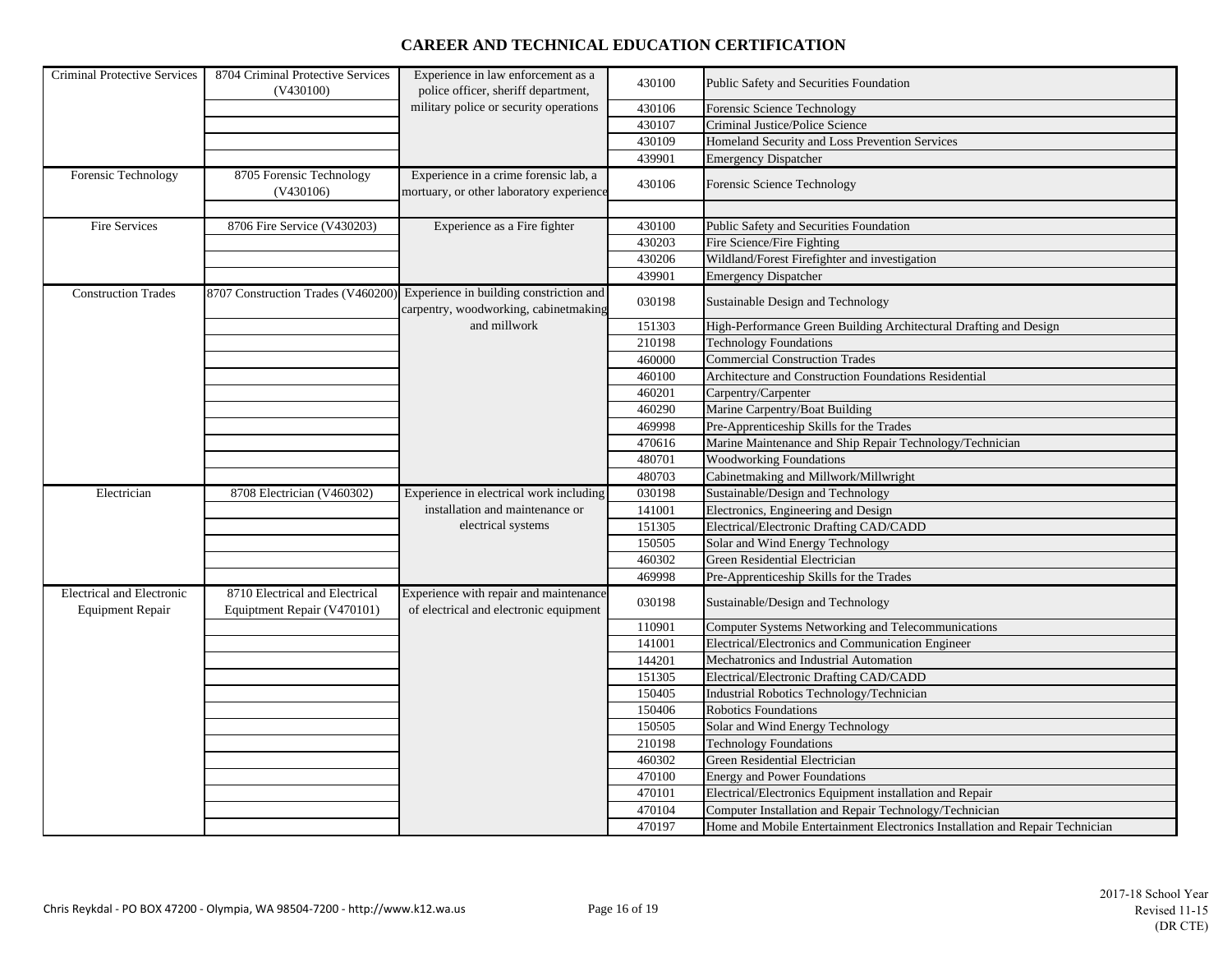| Criminal Protective Services                                | 8704 Criminal Protective Services<br>(V430100)                | Experience in law enforcement as a<br>police officer, sheriff department,                                           | 430100 | Public Safety and Securities Foundation                                      |
|-------------------------------------------------------------|---------------------------------------------------------------|---------------------------------------------------------------------------------------------------------------------|--------|------------------------------------------------------------------------------|
|                                                             |                                                               | military police or security operations                                                                              | 430106 | Forensic Science Technology                                                  |
|                                                             |                                                               |                                                                                                                     | 430107 | Criminal Justice/Police Science                                              |
|                                                             |                                                               |                                                                                                                     | 430109 | Homeland Security and Loss Prevention Services                               |
|                                                             |                                                               |                                                                                                                     | 439901 | <b>Emergency Dispatcher</b>                                                  |
| Forensic Technology                                         | 8705 Forensic Technology<br>(V430106)                         | Experience in a crime forensic lab, a<br>mortuary, or other laboratory experience                                   | 430106 | Forensic Science Technology                                                  |
|                                                             |                                                               |                                                                                                                     |        |                                                                              |
| Fire Services                                               | 8706 Fire Service (V430203)                                   | Experience as a Fire fighter                                                                                        | 430100 | Public Safety and Securities Foundation                                      |
|                                                             |                                                               |                                                                                                                     | 430203 | Fire Science/Fire Fighting                                                   |
|                                                             |                                                               |                                                                                                                     | 430206 | Wildland/Forest Firefighter and investigation                                |
|                                                             |                                                               |                                                                                                                     | 439901 | <b>Emergency Dispatcher</b>                                                  |
| <b>Construction Trades</b>                                  |                                                               | 8707 Construction Trades (V460200) Experience in building constriction and<br>carpentry, woodworking, cabinetmaking | 030198 | Sustainable Design and Technology                                            |
|                                                             |                                                               | and millwork                                                                                                        | 151303 | High-Performance Green Building Architectural Drafting and Design            |
|                                                             |                                                               |                                                                                                                     | 210198 | <b>Technology Foundations</b>                                                |
|                                                             |                                                               |                                                                                                                     | 460000 | <b>Commercial Construction Trades</b>                                        |
|                                                             |                                                               |                                                                                                                     | 460100 | Architecture and Construction Foundations Residential                        |
|                                                             |                                                               |                                                                                                                     | 460201 | Carpentry/Carpenter                                                          |
|                                                             |                                                               |                                                                                                                     | 460290 | Marine Carpentry/Boat Building                                               |
|                                                             |                                                               |                                                                                                                     | 469998 | Pre-Apprenticeship Skills for the Trades                                     |
|                                                             |                                                               |                                                                                                                     | 470616 | Marine Maintenance and Ship Repair Technology/Technician                     |
|                                                             |                                                               |                                                                                                                     | 480701 | <b>Woodworking Foundations</b>                                               |
|                                                             |                                                               |                                                                                                                     | 480703 | Cabinetmaking and Millwork/Millwright                                        |
| Electrician                                                 | 8708 Electrician (V460302)                                    | Experience in electrical work including                                                                             | 030198 | Sustainable/Design and Technology                                            |
|                                                             |                                                               | installation and maintenance or                                                                                     | 141001 | Electronics, Engineering and Design                                          |
|                                                             |                                                               | electrical systems                                                                                                  | 151305 | Electrical/Electronic Drafting CAD/CADD                                      |
|                                                             |                                                               |                                                                                                                     | 150505 | Solar and Wind Energy Technology                                             |
|                                                             |                                                               |                                                                                                                     | 460302 | Green Residential Electrician                                                |
|                                                             |                                                               |                                                                                                                     | 469998 | Pre-Apprenticeship Skills for the Trades                                     |
| <b>Electrical and Electronic</b><br><b>Equipment Repair</b> | 8710 Electrical and Electrical<br>Equiptment Repair (V470101) | Experience with repair and maintenance<br>of electrical and electronic equipment                                    | 030198 | Sustainable/Design and Technology                                            |
|                                                             |                                                               |                                                                                                                     | 110901 | Computer Systems Networking and Telecommunications                           |
|                                                             |                                                               |                                                                                                                     | 141001 | Electrical/Electronics and Communication Engineer                            |
|                                                             |                                                               |                                                                                                                     | 144201 | Mechatronics and Industrial Automation                                       |
|                                                             |                                                               |                                                                                                                     | 151305 | Electrical/Electronic Drafting CAD/CADD                                      |
|                                                             |                                                               |                                                                                                                     | 150405 | Industrial Robotics Technology/Technician                                    |
|                                                             |                                                               |                                                                                                                     | 150406 | <b>Robotics Foundations</b>                                                  |
|                                                             |                                                               |                                                                                                                     | 150505 | Solar and Wind Energy Technology                                             |
|                                                             |                                                               |                                                                                                                     | 210198 | <b>Technology Foundations</b>                                                |
|                                                             |                                                               |                                                                                                                     | 460302 | Green Residential Electrician                                                |
|                                                             |                                                               |                                                                                                                     | 470100 | <b>Energy and Power Foundations</b>                                          |
|                                                             |                                                               |                                                                                                                     | 470101 | Electrical/Electronics Equipment installation and Repair                     |
|                                                             |                                                               |                                                                                                                     | 470104 | Computer Installation and Repair Technology/Technician                       |
|                                                             |                                                               |                                                                                                                     | 470197 | Home and Mobile Entertainment Electronics Installation and Repair Technician |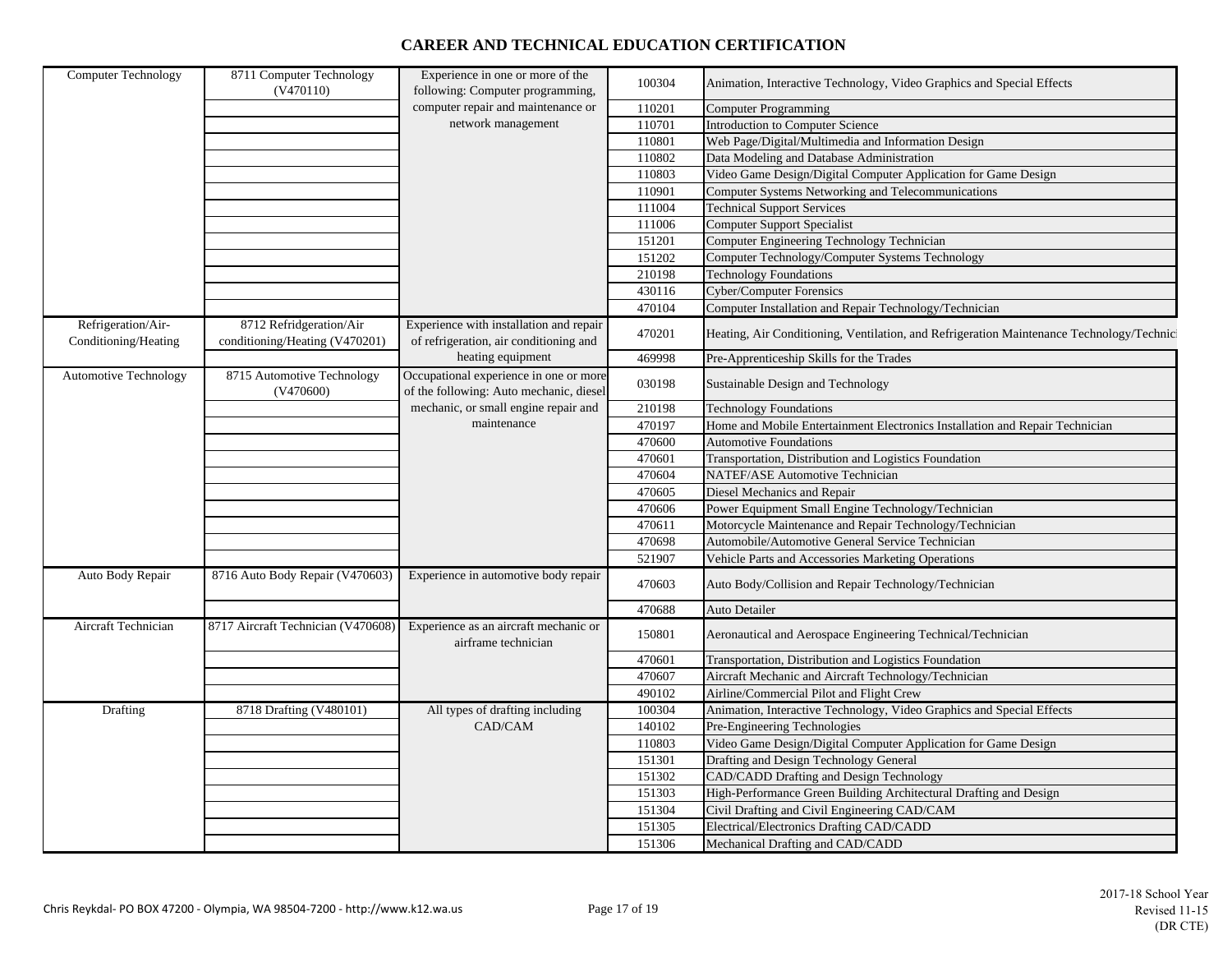| <b>Computer Technology</b>   | 8711 Computer Technology<br>(V470110)   | Experience in one or more of the<br>following: Computer programming,              | 100304           | Animation, Interactive Technology, Video Graphics and Special Effects                     |
|------------------------------|-----------------------------------------|-----------------------------------------------------------------------------------|------------------|-------------------------------------------------------------------------------------------|
|                              |                                         | computer repair and maintenance or                                                |                  |                                                                                           |
|                              |                                         | network management                                                                | 110201<br>110701 | Computer Programming<br><b>Introduction to Computer Science</b>                           |
|                              |                                         |                                                                                   |                  |                                                                                           |
|                              |                                         |                                                                                   | 110801           | Web Page/Digital/Multimedia and Information Design                                        |
|                              |                                         |                                                                                   | 110802           | Data Modeling and Database Administration                                                 |
|                              |                                         |                                                                                   | 110803           | Video Game Design/Digital Computer Application for Game Design                            |
|                              |                                         |                                                                                   | 110901           | Computer Systems Networking and Telecommunications                                        |
|                              |                                         |                                                                                   | 111004           | <b>Technical Support Services</b>                                                         |
|                              |                                         |                                                                                   | 111006           | <b>Computer Support Specialist</b>                                                        |
|                              |                                         |                                                                                   | 151201           | Computer Engineering Technology Technician                                                |
|                              |                                         |                                                                                   | 151202           | Computer Technology/Computer Systems Technology                                           |
|                              |                                         |                                                                                   | 210198           | <b>Technology Foundations</b>                                                             |
|                              |                                         |                                                                                   | 430116           | <b>Cyber/Computer Forensics</b>                                                           |
|                              |                                         |                                                                                   | 470104           | Computer Installation and Repair Technology/Technician                                    |
| Refrigeration/Air-           | 8712 Refridgeration/Air                 | Experience with installation and repair                                           |                  |                                                                                           |
| Conditioning/Heating         | conditioning/Heating (V470201)          | of refrigeration, air conditioning and                                            | 470201           | Heating, Air Conditioning, Ventilation, and Refrigeration Maintenance Technology/Technici |
|                              |                                         | heating equipment                                                                 | 469998           | Pre-Apprenticeship Skills for the Trades                                                  |
| <b>Automotive Technology</b> | 8715 Automotive Technology<br>(V470600) | Occupational experience in one or more<br>of the following: Auto mechanic, diesel | 030198           | Sustainable Design and Technology                                                         |
|                              |                                         | mechanic, or small engine repair and                                              | 210198           | <b>Technology Foundations</b>                                                             |
|                              |                                         | maintenance                                                                       | 470197           | Home and Mobile Entertainment Electronics Installation and Repair Technician              |
|                              |                                         |                                                                                   | 470600           | <b>Automotive Foundations</b>                                                             |
|                              |                                         |                                                                                   | 470601           | Transportation, Distribution and Logistics Foundation                                     |
|                              |                                         |                                                                                   | 470604           | <b>NATEF/ASE Automotive Technician</b>                                                    |
|                              |                                         |                                                                                   | 470605           | Diesel Mechanics and Repair                                                               |
|                              |                                         |                                                                                   | 470606           | Power Equipment Small Engine Technology/Technician                                        |
|                              |                                         |                                                                                   | 470611           | Motorcycle Maintenance and Repair Technology/Technician                                   |
|                              |                                         |                                                                                   | 470698           | Automobile/Automotive General Service Technician                                          |
|                              |                                         |                                                                                   | 521907           | Vehicle Parts and Accessories Marketing Operations                                        |
|                              |                                         |                                                                                   |                  |                                                                                           |
| Auto Body Repair             | 8716 Auto Body Repair (V470603)         | Experience in automotive body repair                                              | 470603           | Auto Body/Collision and Repair Technology/Technician                                      |
|                              |                                         |                                                                                   | 470688           | <b>Auto Detailer</b>                                                                      |
| Aircraft Technician          | 8717 Aircraft Technician (V470608)      | Experience as an aircraft mechanic or<br>airframe technician                      | 150801           | Aeronautical and Aerospace Engineering Technical/Technician                               |
|                              |                                         |                                                                                   | 470601           | Transportation, Distribution and Logistics Foundation                                     |
|                              |                                         |                                                                                   | 470607           | Aircraft Mechanic and Aircraft Technology/Technician                                      |
|                              |                                         |                                                                                   | 490102           | Airline/Commercial Pilot and Flight Crew                                                  |
| Drafting                     | 8718 Drafting (V480101)                 | All types of drafting including                                                   | 100304           | Animation, Interactive Technology, Video Graphics and Special Effects                     |
|                              |                                         | CAD/CAM                                                                           | 140102           | Pre-Engineering Technologies                                                              |
|                              |                                         |                                                                                   | 110803           | Video Game Design/Digital Computer Application for Game Design                            |
|                              |                                         |                                                                                   | 151301           | Drafting and Design Technology General                                                    |
|                              |                                         |                                                                                   | 151302           | CAD/CADD Drafting and Design Technology                                                   |
|                              |                                         |                                                                                   | 151303           | High-Performance Green Building Architectural Drafting and Design                         |
|                              |                                         |                                                                                   | 151304           | Civil Drafting and Civil Engineering CAD/CAM                                              |
|                              |                                         |                                                                                   | 151305           | Electrical/Electronics Drafting CAD/CADD                                                  |
|                              |                                         |                                                                                   |                  |                                                                                           |
|                              |                                         |                                                                                   | 151306           | Mechanical Drafting and CAD/CADD                                                          |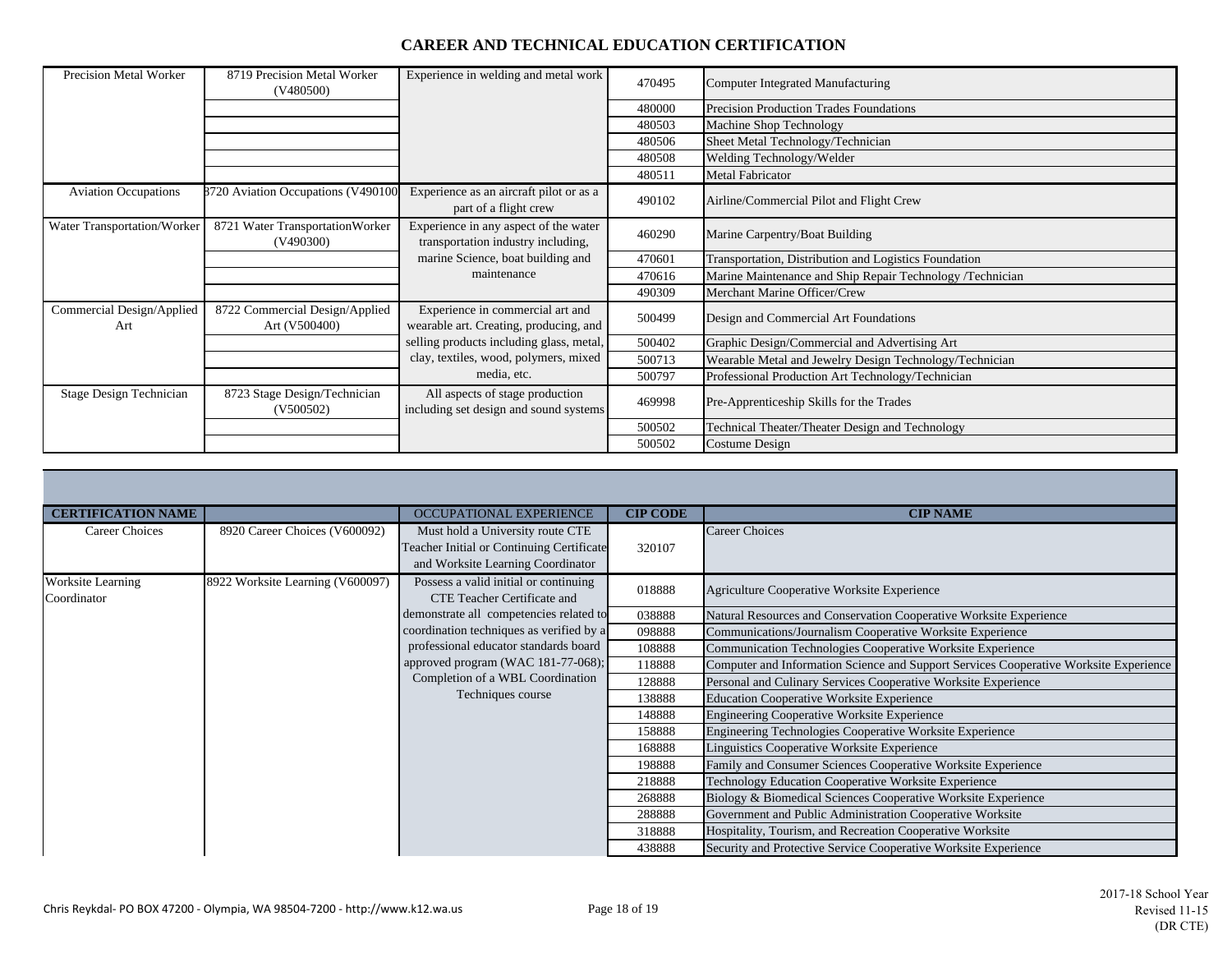| Precision Metal Worker           | 8719 Precision Metal Worker<br>(V480500)        | Experience in welding and metal work                                        | 470495 | Computer Integrated Manufacturing                         |
|----------------------------------|-------------------------------------------------|-----------------------------------------------------------------------------|--------|-----------------------------------------------------------|
|                                  |                                                 |                                                                             | 480000 | Precision Production Trades Foundations                   |
|                                  |                                                 |                                                                             | 480503 | Machine Shop Technology                                   |
|                                  |                                                 |                                                                             | 480506 | Sheet Metal Technology/Technician                         |
|                                  |                                                 |                                                                             | 480508 | Welding Technology/Welder                                 |
|                                  |                                                 |                                                                             | 480511 | Metal Fabricator                                          |
| <b>Aviation Occupations</b>      | 8720 Aviation Occupations (V490100              | Experience as an aircraft pilot or as a<br>part of a flight crew            | 490102 | Airline/Commercial Pilot and Flight Crew                  |
| Water Transportation/Worker      | 8721 Water Transportation Worker<br>(V490300)   | Experience in any aspect of the water<br>transportation industry including, | 460290 | Marine Carpentry/Boat Building                            |
|                                  |                                                 | marine Science, boat building and                                           | 470601 | Transportation, Distribution and Logistics Foundation     |
|                                  |                                                 | maintenance                                                                 | 470616 | Marine Maintenance and Ship Repair Technology /Technician |
|                                  |                                                 |                                                                             | 490309 | Merchant Marine Officer/Crew                              |
| Commercial Design/Applied<br>Art | 8722 Commercial Design/Applied<br>Art (V500400) | Experience in commercial art and<br>wearable art. Creating, producing, and  | 500499 | Design and Commercial Art Foundations                     |
|                                  |                                                 | selling products including glass, metal,                                    | 500402 | Graphic Design/Commercial and Advertising Art             |
|                                  |                                                 | clay, textiles, wood, polymers, mixed                                       | 500713 | Wearable Metal and Jewelry Design Technology/Technician   |
|                                  |                                                 | media, etc.                                                                 | 500797 | Professional Production Art Technology/Technician         |
| Stage Design Technician          | 8723 Stage Design/Technician<br>(V500502)       | All aspects of stage production<br>including set design and sound systems   | 469998 | Pre-Apprenticeship Skills for the Trades                  |
|                                  |                                                 |                                                                             | 500502 | Technical Theater/Theater Design and Technology           |
|                                  |                                                 |                                                                             | 500502 | Costume Design                                            |

| <b>CERTIFICATION NAME</b>        |                                  | OCCUPATIONAL EXPERIENCE                                                        | <b>CIP CODE</b> | <b>CIP NAME</b>                                                                       |
|----------------------------------|----------------------------------|--------------------------------------------------------------------------------|-----------------|---------------------------------------------------------------------------------------|
| <b>Career Choices</b>            | 8920 Career Choices (V600092)    | Must hold a University route CTE                                               |                 | Career Choices                                                                        |
|                                  |                                  | Teacher Initial or Continuing Certificate<br>and Worksite Learning Coordinator | 320107          |                                                                                       |
| Worksite Learning<br>Coordinator | 8922 Worksite Learning (V600097) | Possess a valid initial or continuing<br>CTE Teacher Certificate and           | 018888          | Agriculture Cooperative Worksite Experience                                           |
|                                  |                                  | demonstrate all competencies related to                                        | 038888          | Natural Resources and Conservation Cooperative Worksite Experience                    |
|                                  |                                  | coordination techniques as verified by a                                       | 098888          | Communications/Journalism Cooperative Worksite Experience                             |
|                                  |                                  | professional educator standards board                                          | 108888          | Communication Technologies Cooperative Worksite Experience                            |
|                                  |                                  | approved program (WAC 181-77-068);                                             | 118888          | Computer and Information Science and Support Services Cooperative Worksite Experience |
|                                  |                                  | Completion of a WBL Coordination                                               | 128888          | Personal and Culinary Services Cooperative Worksite Experience                        |
|                                  |                                  | Techniques course                                                              | 138888          | <b>Education Cooperative Worksite Experience</b>                                      |
|                                  |                                  |                                                                                | 148888          | <b>Engineering Cooperative Worksite Experience</b>                                    |
|                                  |                                  |                                                                                | 158888          | <b>Engineering Technologies Cooperative Worksite Experience</b>                       |
|                                  |                                  |                                                                                | 168888          | Linguistics Cooperative Worksite Experience                                           |
|                                  |                                  |                                                                                | 198888          | Family and Consumer Sciences Cooperative Worksite Experience                          |
|                                  |                                  |                                                                                | 218888          | Technology Education Cooperative Worksite Experience                                  |
|                                  |                                  |                                                                                | 268888          | Biology & Biomedical Sciences Cooperative Worksite Experience                         |
|                                  |                                  |                                                                                | 288888          | Government and Public Administration Cooperative Worksite                             |
|                                  |                                  |                                                                                | 318888          | Hospitality, Tourism, and Recreation Cooperative Worksite                             |
|                                  |                                  |                                                                                | 438888          | Security and Protective Service Cooperative Worksite Experience                       |